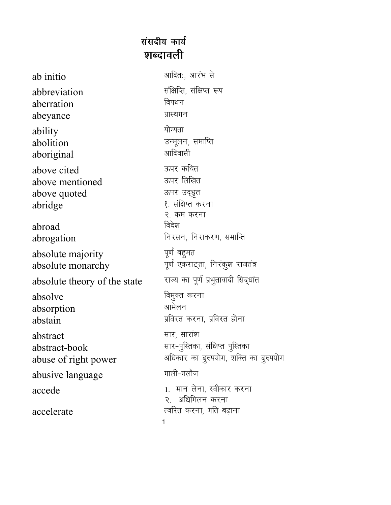## संसदीय कार्य **शब्दावली**

| ab initio                                                 | आदितः, आरंभ से                                                         |
|-----------------------------------------------------------|------------------------------------------------------------------------|
| abbreviation                                              | संक्षिप्ति, संक्षिप्त रूप                                              |
| aberration                                                | विपथन                                                                  |
| abeyance                                                  | प्रास्थगन                                                              |
| ability                                                   | योग्यता                                                                |
| abolition                                                 | उन्मूलन, समाप्ति                                                       |
| aboriginal                                                | आदिवासी                                                                |
| above cited<br>above mentioned<br>above quoted<br>abridge | ऊपर कथित<br>ऊपर लिखित<br>ऊपर उद्धृत<br>१. संक्षिप्त करना<br>२. कम करना |
| abroad                                                    | विदेश                                                                  |
| abrogation                                                | निरसन, निराकरण, समाप्ति                                                |
| absolute majority                                         | पूर्ण बहुमत                                                            |
| absolute monarchy                                         | पूर्ण एकराट्ता, निरंकुश राजतंत्र                                       |
| absolute theory of the state                              | राज्य का पूर्ण प्रभुतावादी सिद्धांत                                    |
| absolve                                                   | विमुक्त करना                                                           |
| absorption                                                | आमेलन                                                                  |
| abstain                                                   | प्रविरत करना, प्रविरत होना                                             |
| abstract                                                  | सार, सारांश                                                            |
| abstract-book                                             | सार-पुस्तिका, संक्षिप्त पुस्तिका                                       |
| abuse of right power                                      | अधिकार का दुरुपयोग, शक्ति का दुरुपयोग                                  |
| abusive language                                          | गाली-गलौज                                                              |
| accede                                                    | 1. मान लेना, स्वीकार करना                                              |
| accelerate                                                | २. अधिमिलन करना<br>त्वरित करना, गति बढ़ाना<br>1                        |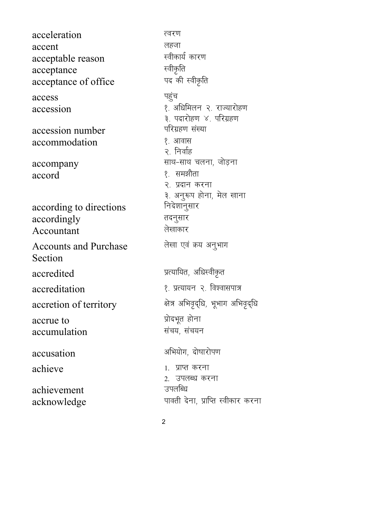acceleration त्वरण लहजा accent स्वीकार्य कारण acceptable reason स्वीकृति acceptance पद की स्वीकृति acceptance of office पहुंच access १. अधिमिलन २. राज्यारोहण accession ३. पदारोहण ४. परिग्रहण परिग्रहण संख्या accession number accommodation १. आवास २. निर्वाह साथ-साथ चलना, जोड़ना accompany १. समझौता accord २. प्रदान करना ३. अनुरूप होना, मेल खाना निदेशानुसार according to directions तदनुसार accordingly लेखाकार Accountant लेखा एवं क्रय अनुभाग **Accounts and Purchase** Section प्रत्यायित, अधिस्वीकृत accredited १. प्रत्यायन २. विश्वासपात्र accreditation क्षेत्र अभिवृद्धि, भूभाग अभिवृद्धि accretion of territory प्रोदभूत होना accrue to संचय, संचयन accumulation अभियोग. दोषारोपण accusation achieve 1. प्राप्त करना 2. उपलब्ध करना उपलब्धि achievement पावती देना, प्राप्ति स्वीकार करना acknowledge

 $\overline{2}$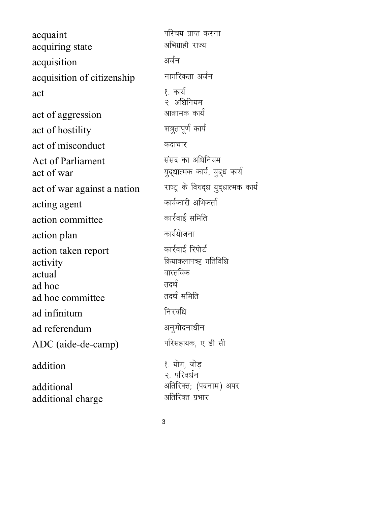acquaint ifjp; izkIr djuk acquiring state acquisition अर्जन acquisition of citizenship नागरिकता अर्जन  $\quad \text{act} \quad \text{2.} \quad \text{2.} \quad \text{3.} \quad \text{4.} \quad \text{4.} \quad \text{5.} \quad \text{5.} \quad \text{6.} \quad \text{6.} \quad \text{7.} \quad \text{8.} \quad \text{8.} \quad \text{8.} \quad \text{9.} \quad \text{10.} \quad \text{11.} \quad \text{12.} \quad \text{13.} \quad \text{14.} \quad \text{15.} \quad \text{16.} \quad \text{17.} \quad \text{18.} \quad \text{19.} \quad \text{19.} \$ २. अधिनियम<br>आक्रामक कार्य act of aggression act of hostility and ward was a set of hostility act of misconduct कदाचार Act of Parliament Fig. 2014 संसद का अधिनियम act of war ; in the consequence of war in the consequence of war and  $\overline{z}$ act of war against a nation verse के विरुद्ध युद्धात्मक कार्य acting agent decree and a material and a setting agent action committee **departments** कार्रवाई समिति action plan dk; कार्ययोजना action taken report कार्रवाई रिपोर्ट  $\begin{array}{ccc}\n \text{activity} & \text{approx}\n \end{array}$  activity actual actual ad hoc<br>ad hoc committee क्या तदर्थ समिति ad hoc committee ad infinitum **facture function** ad referendum अनुमोदनाधीन ADC (aide-de-camp) परिसहायक, ए डी सी addition हैं: योग, जोड़ २. परिवर्धन  $additional$  variable video  $\mathcal{A}$  and  $\mathcal{A}$  and  $\mathcal{A}$  via  $\mathcal{A}$  via  $\mathcal{A}$  and  $\mathcal{A}$  via  $\mathcal{A}$  via  $\mathcal{A}$  via  $\mathcal{A}$  via  $\mathcal{A}$  via  $\mathcal{A}$  via  $\mathcal{A}$  via  $\mathcal{A}$  via  $\mathcal{A}$  via  $\mathcal{A}$  via  $\mathcal{$ additional charge values के अतिरिक्त प्रभार

3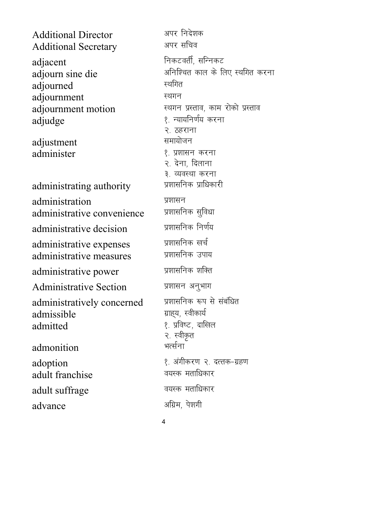Additional Director अपर निदेशक<br>Additional Secretary - अपर सचिव Additional Secretary adjacent and a line of the fundament of the fundament of the fundament of  $\mathbb{R}^n$ adjourn sine die van die verwystelling and die verwystelling and die verwystelling and die verwystelling and d adjourned स्थगित adjournment adjournment motion स्थगन प्रस्ताव, काम रोको प्रस्ताव adjudge 1- 2012 12 2014 12:30 12:41 2015 12:42 12:42 12:42 12:42 २. ठहराना adjustment समायोजन administer 3. प्रशासन करना २. देना, दिलाना ३. व्यवस्था करना<br>प्रशासनिक प्राधिकारी administrating authority administration प्रशासन<br>administrative convenience प्रशासनिक सुविधा administrative convenience administrative decision iz'kklfud fu.kZ; administrative expenses प्रशासनिक खर्च<br>administrative measures प्रशासनिक उपाय administrative measures administrative power प्रशासनिक शक्ति Administrative Section प्रशासन अनुभाग administratively concerned प्रशासनिक रूप से संबंधित<br>admissible : ग्राहय, स्वीकार्य admissible admitted and the set of the set of the set of the set of the set of the set of the set of the set of the set o २. स्वीकृत admonition भर्त्सना  $\text{adoption}$ <br>adult franchise  $\text{a}$  adult franchise adult franchise adult suffrage and all extends and a matches and all extends of the set of the set of the set of the set of th advance अग्रिम, पेशगी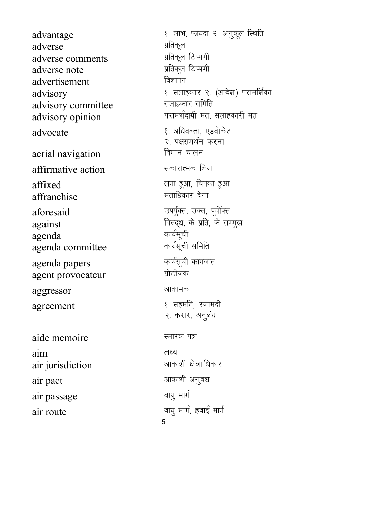advantage 1- ykHk] Qk;nk 2- vuqdwy fLFkfr adverse Manuel अतिकूल<br>adverse comments प्रतिकूल टिप्पणी adverse comments adverse note izfrae when when we have the set of the set of the set of the set of the set of the set of the se advertisement बिज्ञापन advisory<br>advisory committee सलाहकार समिति advisory committee advisory opinion in the settle with the settle and vision and vision and vision and vision and vision and visi advocate 1- 2002 ( अधिवक्ता, एडवोकेट aerial navigation **four four four** नालन  $\operatorname{affirmative}\nolimits$  action  $\operatorname{Hom}\nolimits$  $\text{affixed}$ <br>affranchise affranchis affranchise affranchise affranchise  $a$ foresaid mix $a$ aforesaid mix $a$  matrix  $\overline{a}$ against  $a$ gainst  $a$ gainst  $a$ genda agenda dk;Zlwph agenda committee agenda papers कार्यसूची कागजात<br>agent provocateur प्रोत्तेजक agent provocateur aggressor अजिलामक agreement <a>  $\ell$ , सहमति, रजामंदी aide memoire and the settlement of the settlement of the settlement of the settlement of the settlement of the aim y{; air jurisdiction values का अपकाशी क्षेत्राधिकार air pact values and the set of the state of the state and all of the state of the state of the state of the st

air passage and any starting and the starting of the starting and starting and starting and starting and start air route **of the case of the case of the case of the case of the case of the case of the case of the case of t** 

२. पक्षसमर्थन करना २. करार, अनुबंध

5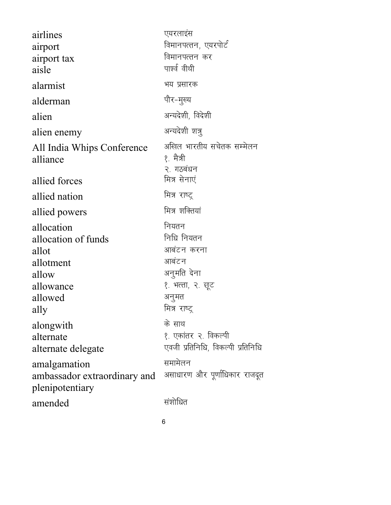| airlines<br>airport<br>airport tax<br>aisle                                                                   | एयरलाइंस<br>विमानपत्तन, एयरपोर्ट<br>विमानपत्तन कर<br>पार्श्व वीथी                                                 |
|---------------------------------------------------------------------------------------------------------------|-------------------------------------------------------------------------------------------------------------------|
| alarmist                                                                                                      | भय प्रसारक                                                                                                        |
| alderman                                                                                                      | पौर-मुख्य                                                                                                         |
| alien                                                                                                         | अन्यदेशी, विदेशी                                                                                                  |
| alien enemy                                                                                                   | अन्यदेशी शत्रु                                                                                                    |
| All India Whips Conference<br>alliance                                                                        | अखिल भारतीय सचेतक सम्मेलन<br>१. मैत्री<br>२. गठबंधन                                                               |
| allied forces                                                                                                 | मित्र सेनाएं                                                                                                      |
| allied nation                                                                                                 | मित्र राष्ट्र                                                                                                     |
| allied powers                                                                                                 | मित्र शक्तियां                                                                                                    |
| allocation<br>allocation of funds<br>allot<br>allotment<br>allow<br>allowance<br>allowed<br>ally<br>alongwith | नियतन<br>निधि नियतन<br>आबंटन करना<br>आबंटन<br>अनुमति देना<br>१. भत्ता, २. छूट<br>अनुमत<br>मित्र राष्ट्र<br>के साथ |
| alternate<br>alternate delegate                                                                               | १. एकांतर २. विकल्पी<br>एवजी प्रतिनिधि, विकल्पी प्रतिनिधि                                                         |
| amalgamation<br>ambassador extraordinary and<br>plenipotentiary                                               | समामेलन<br>असाधारण और पूर्णाधिकार राजदूत                                                                          |
| amended                                                                                                       | संशोधित                                                                                                           |

 $\overline{6}$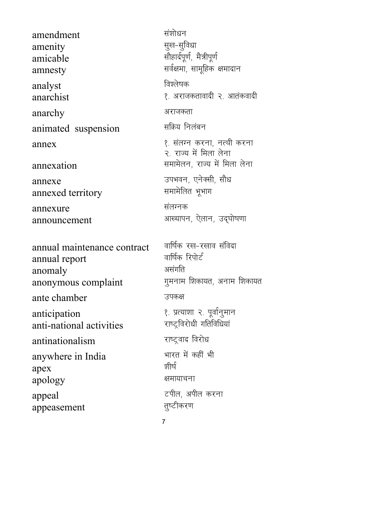amendment amenity amicable amnesty analyst anarchist anarchy animated suspension annex annexation annexe annexed territory annexure announcement annual maintenance contract annual report anomaly anonymous complaint ante chamber anticipation anti-national activities antinationalism anywhere in India apex apology

appeal

appeasement

वार्षिक रख-रखाव संविदा वार्षिक रिपोर्ट असंगति गूमनाम शिकायत, अनाम शिकायत उपकक्ष १. प्रत्याशा २. पूर्वानुमान राष्ट्रविरोधी गतिविधियां राष्ट्रवाद विरोध भारत में कहीं भी श्रीर्ष क्षमायाचना टपील, अपील करना तुष्टीकरण

संशोधन

विश्लेषक

अराजकता

सक्रिय निलंबन

सूख-सूविधा

सौहार्दपूर्ण, मैत्रीपूर्ण

सर्वक्षमा, सामूहिक क्षमादान

१. अराजकतावादी २. आतंकवादी

१. संलग्न करना, नत्थी करना

समामेलन, राज्य में मिला लेना

आल्यापन, ऐलान, उद्घोषणा

२ राज्य में मिला लेना

उपभवन, एनेक्सी, सौध

समामेलित भूभाग

संलग्नक

 $\overline{7}$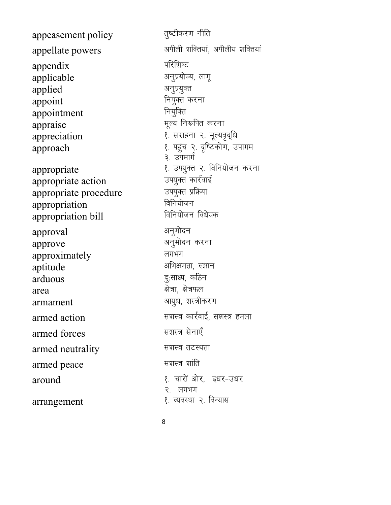appeasement policy Finder discussed appearance appearance of appellate powers victor with the suppellate powers with the support of the suppellate powers appendix परिशिष्ट<br>applicable अनुप्रयोज्य, लागू applicable applied अनुप्रयुक्त appoint appoint नियुक्त करना<br>appointment नियुक्ति appointment appraise extending the settlement of the settlement of the settlement of the settlement of the settlement of the settlement of the settlement of the settlement of the settlement of the settlement of the settlement of the appreciation 2- सराहना २. मूल्यवृद्धि approach 1- igqap 2- n`f"Vdks.k] mikxe appropriate 1- 10 appropriate 1- अप्रथम अप्युक्त २. विनियोजन करना<br>appropriate action appropriate action ज्यियुक्त कार्रवा<br>appropriate procedure ज्य्युक्त प्रक्रिया appropriate procedure ज्यप्युक्त प्रशिक्षक<br>appropriation विनियोजन appropriation fofu;kstu appropriation bill approval अनुमोदन approve अनुमोदन करना approximately लगभग aptitude अभिक्षमता, रुझान arduous arduous करिन  $area$   $\qquad$   $\qquad$   $\qquad$   $\qquad$   $\qquad$   $\qquad$   $\qquad$   $\qquad$   $\qquad$   $\qquad$   $\qquad$   $\qquad$   $\qquad$   $\qquad$   $\qquad$   $\qquad$   $\qquad$   $\qquad$   $\qquad$   $\qquad$   $\qquad$   $\qquad$   $\qquad$   $\qquad$   $\qquad$   $\qquad$   $\qquad$   $\qquad$   $\qquad$   $\qquad$   $\qquad$   $\qquad$   $\qquad$   $\qquad$   $\qquad$   $\qquad$  armament variation of the starting and the starting area and the starting of the starting and the starting and armed action and the settle state and the settle armed action armed forces बाला के सशस्त्र सेनाएँ armed neutrality स्थास्त्र तटस्थता armed peace when we are the set of the set of the set of the set of the set of the set of the set of the set o around 1- pking and the set of the set of the set of the set of the set of the set of the set of the set of th arrangement । अन्यास २. विन्यास

३. उपमार्ग २. लगभग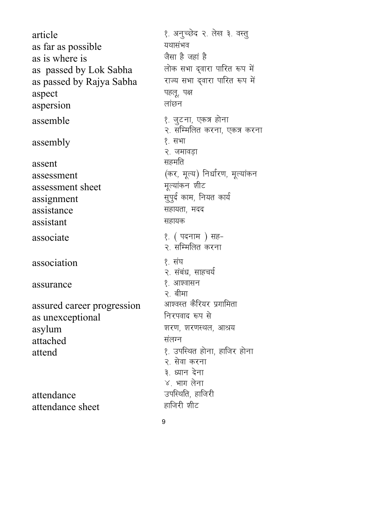article 1- vuqPNsn 2- ys[k 3- oLrq as far as possible **With a** यथासंभव as is where is<br>
as passed by Lok Sabha लोक सभा द्वारा पारित रूप में as passed by Lok Sabha लोक सभा द्वारा पारित रूप में<br>as passed by Raiva Sabha राज्य सभा द्वारा पारित रूप में as passed by Rajya Sabha aspect बार करने के बाद में बार करने के बाद में बार करने के बाद में बार करने के बाद में बार करने के बाद में बार<br>बार के बाद में बार करने के बाद में बार करने के बाद में बार करने के बाद में बार करने के बाद में बार करने के बाद aspersion लांछन assemble 1- tqVuk] ,d= gksuk  $\text{assembly}$  ? सभा assent बाहिए के बाद सहमति dial assessment<br>
assessment sheet<br>
assessment sheet<br>  $\frac{1}{2}$  frequency functions assessment sheet assessment sheet assignment lower than the settle state and the settle state and the settle state and assistance बाह्य सहायता, मदद assistant assistant assistant associate 1- 12 अक्षर अस्ति । अस्ति अस्ति । अस्ति अस्ति । अस्ति । अस्ति । अस्ति । अस्ति । अस्ति । अस्ति । अस्त association । अब १ संघ assurance assurance assurance assured career progression आश्वस्त कैरियर प्रगामिता<br>as unexcentional निरपवाद रूप से as unexceptional asylum 'kin.klf asylum 'kin.klf asylum 'kin.klf asylum 'kin.klf asiyang mangkalang asylum asylum asylum asylum attached संलग्न attend 1- attend 1- minimum was supported to the set of the set of the set of the set of the set of the set of attendance mifLFkfr] gkftjh attendance sheet

२. सम्मिलित करना, एकत्र करना २. जमावडा २. सम्मिलित करना २. संबंध, साहचर्य २. बीमा २. सेवा करना ३) ध्यान देना ४. भाग लेना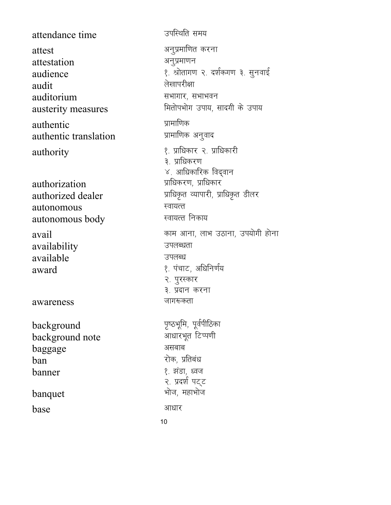attendance time attest attestation audience audit auditorium austerity measures authentic authentic translation authority

authorization authorized dealer autonomous autonomous body

avail availability available award

awareness

background background note baggage ban banner banquet

base

उपस्थिति समय अनुप्रमाणित करना अनुप्रमाणन १. श्रोतागण २. दर्शकगण ३. सुनवाई लेखापरीक्षा सभागार, सभाभवन मितोपभोग उपाय, सादगी के उपाय प्रामाणिक प्रामाणिक अनुवाद १. प्राधिकार २. प्राधिकारी ३. प्राधिकरण ४. आधिकारिक विद्वान प्राधिकरण, प्राधिकार प्राधिकृत व्यापारी, प्राधिकृत डीलर स्वायत्त स्वायत्त निकाय काम आना, लाभ उठाना, उपयोगी होना उपलब्धता उपलब्ध १. पंचाट, अधिनिर्णय २. पुरस्कार ३. प्रदान करना जागरूकता पृष्ठभूमि, पूर्वपीठिका आधारभूत टिप्पणी असबाब रोक, प्रतिबंध १. झंडा, ध्वज २. प्रदर्श पट्ट भोज, महाभोज

आधार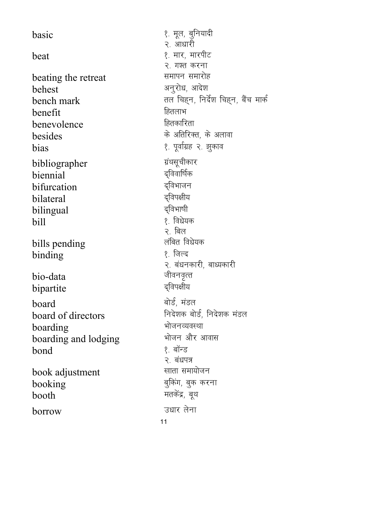१. मूल, बुनियादी basic २. आधारी beat २. गश्त करना beating the retreat अनुरोध, आदेश behest bench mark हितलाभ benefit हितकारिता benevolence besides bias ग्रंथसूचीकार bibliographer द्विवार्षिक biennial द्विभाजन bifurcation दुविपक्षीय bilateral दुविभाषी bilingual १. विधेयक hill २. बिल लंबित विधेयक bills pending १ जिल्द binding जीवनवृत्त bio-data द्विपक्षीय bipartite बोर्ड, मंडल board board of directors भोजनव्यवस्था boarding boarding and lodging १. बॉन्ड bond २. बंधपत्र खाता समायोजन book adjustment booking मतकेंद्र, बूथ booth उधार लेना borrow

१. मार, मारपीट समापन समारोह तल चिहन, निर्देश चिहन, बैंच मार्क के अतिरिक्त, के अलावा १. पूर्वाग्रह २. झुकाव २. बंधनकारी, बाध्यकारी निदेशक बोर्ड, निदेशक मंडल भोजन और आवास बुकिंग, बुक करना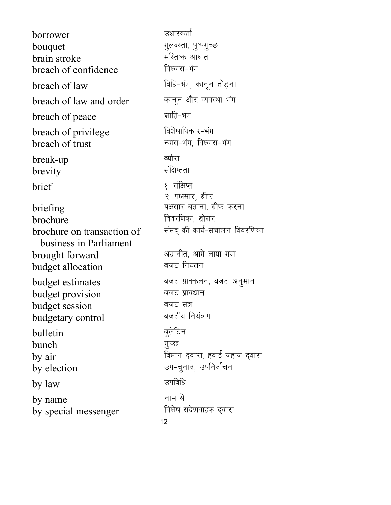12 borrower ज्ञायस्कर्ता bouquet xqynLrk] iq"ixqPN brain stroke efLr"d vk?kkr breach of confidence  $b$ reach of law  $\frac{1}{2}$  and  $\frac{1}{2}$  and  $\frac{1}{2}$  and  $\frac{1}{2}$  and  $\frac{1}{2}$  and  $\frac{1}{2}$  and  $\frac{1}{2}$  and  $\frac{1}{2}$  and  $\frac{1}{2}$  and  $\frac{1}{2}$  and  $\frac{1}{2}$  and  $\frac{1}{2}$  and  $\frac{1}{2}$  and  $\frac{1}{2}$  and  $\frac{1}{2}$ breach of law and order कानून और व्यवस्था भंग **breach of peace** अर्थांति-भंग breach of privilege बिशेषाधिकार-भंग breach of trust View Markan and Talkar and Talkar for the break of trust break-up ब्यौरा brevity संक्षिप्तता brief 2012 - 1999 Prief २. पक्षसार, ब्रीफ briefing is the set of the set of the set of the set of the set of the set of the set of the set of the set of brochure for footing and footing the footing of the footing of the footing of the footing  $\alpha$ brochure on transaction of business in Parliament संसद् की कार्य-संचालन विवरणिका brought forward values when when  $\mathbf{v}$  and  $\mathbf{v}$  and  $\mathbf{v}$  and  $\mathbf{v}$ budget allocation बजट नियतन budget estimates बजट प्राक्कलन, बजट अनुमान budget provision बजट प्रावधान budget session बजट सत्र budgetary control बजटीय नियंत्रण bulletin बुलेटिन bunch *गु*च्छ  $by a$ ir foeku na sama nadar ta'u na sama ta'u na sama ta'u na sama ta'u na sama ta'u na sama ta'u na sama ta'u na sa'u na sa'u na sa'u na sa'u na sa'u na sa'u na sa'u na sa'u na sa'u na sa'u na sa'u na sa'u na sa'u na sa'  $\overline{b}$ y election  $\overline{c}$  and  $\overline{c}$  and  $\overline{c}$ by law when we are the set of  $\mathbb{R}^n$  $\frac{1}{2}$  by name  $\frac{1}{2}$ by special messenger fan fotbalans and the second to by special messenger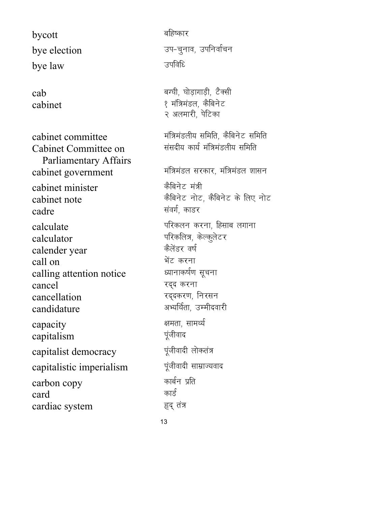$bycott$  ,  $a$  ,  $a$  ,  $bycott$  ,  $a$  ,  $c$  ,  $c$  ,  $c$  ,  $c$  ,  $c$  ,  $c$  ,  $c$  ,  $c$  ,  $c$  ,  $c$  ,  $c$  ,  $c$  ,  $c$  ,  $c$  ,  $c$  ,  $c$  ,  $c$  ,  $c$  ,  $c$  ,  $c$  ,  $c$  ,  $c$  ,  $c$  ,  $c$  ,  $c$  ,  $c$  ,  $c$  ,  $c$  ,  $c$  ,  $c$  ,  $c$  , bye law when  $\overline{3}$  ज्याति है

Cabinet Committee on Parliamentary Affairs cabinet government Figures = Elisabet government cabinet minister कैबिनेट मंत्री cabinet note that the state of the state of the first cabinet note cadre and the state of the state of the state of the state of the state of the state of the state of the state  $cal$ calculate iffdyu diuklika terminal fideology distribution  $\eta$ calculator ब्रिकलित्र, केल्कुलेटर calender year कैलेंडर वर्ष<br>call on भेंट करना call on HksaV djuk calling attention notice cancel  $\overline{c}$  and  $\overline{c}$ cancellation **in the set of the cancellation** candidature van available metal medidature capacity and the state of the state of the state of the state of the state of the state of the state of the st capitalism जूंजीवाद capitalist democracy पूंजीवादी लोकतंत्र capitalistic imperialism पूंजीवादी साम्राज्यवाद carbon copy कार्बन प्रति card कार्ड cardiac system हृद् तंत्र

bye election which we have a straight bye election  $cab$   $\qquad \qquad$   $\qquad \qquad$   $\qquad \qquad$   $\qquad \qquad$   $\qquad \qquad$   $\qquad \qquad$   $\qquad \qquad$   $\qquad \qquad$   $\qquad \qquad$   $\qquad \qquad$   $\qquad \qquad$   $\qquad \qquad$   $\qquad$   $\qquad \qquad$   $\qquad \qquad$   $\qquad$   $\qquad$   $\qquad$   $\qquad$   $\qquad$   $\qquad$   $\qquad$   $\qquad$   $\qquad$   $\qquad$   $\qquad$   $\qquad$   $\qquad$   $\qquad$  cabinet । अन्यान स्थान स्थान स्थान स्थान स्थान स्थान स्थान स्थान स्थान स्थान स्थान स्थान स्थान स्थान स्थान स्थ २ अलमारी, पेटिका cabinet committee each of the state of the state of the cabinet committee संसदीय कार्य मंत्रिमंडलीय समिति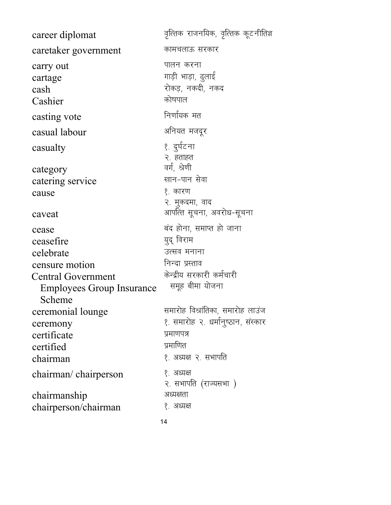| कामचलाऊ सरकार<br>caretaker government<br>पालन करना<br>carry out<br>गाड़ी भाड़ा, ढुलाई<br>cartage<br>रोकड़, नकदी, नकद<br>cash<br>कोषपाल<br>Cashier<br>निर्णायक मत<br>casting vote<br>अनियत मजदूर<br>casual labour<br>१. दुर्घटना<br>casualty<br>२. हताहत<br>वर्ग, श्रेणी<br>category<br>खान-पान सेवा<br>catering service<br>१. कारण<br>cause<br>२. मुकदमा, वाद<br>आपत्ति सूचना, अवरोध-सूचना<br>caveat<br>बंद होना, समाप्त हो जाना<br>cease<br>युद् विराम<br>ceasefire<br>उत्सव मनाना<br>celebrate<br>निन्दा प्रस्ताव<br>censure motion<br>केन्द्रीय सरकारी कर्मचारी<br><b>Central Government</b><br>समूह बीमा योजना<br><b>Employees Group Insurance</b><br>Scheme<br>समारोह विश्रांतिका, समारोह लाउंज<br>ceremonial lounge<br>१. समारोह २. धर्मानुष्ठान, संस्कार<br>ceremony<br>प्रमाणपत्र<br>certificate<br>प्रमाणित<br>certified<br>१. अध्यक्ष २. सभापति<br>chairman<br>१. अध्यक्ष<br>chairman/chairperson<br>२. सभापति (राज्यसभा )<br>अध्यक्षता<br>chairmanship<br>१. अध्यक्ष<br>chairperson/chairman | career diplomat | वृत्तिक राजनयिक, वृत्तिक कूटनीतिज्ञ |
|---------------------------------------------------------------------------------------------------------------------------------------------------------------------------------------------------------------------------------------------------------------------------------------------------------------------------------------------------------------------------------------------------------------------------------------------------------------------------------------------------------------------------------------------------------------------------------------------------------------------------------------------------------------------------------------------------------------------------------------------------------------------------------------------------------------------------------------------------------------------------------------------------------------------------------------------------------------------------------------------------------|-----------------|-------------------------------------|
|                                                                                                                                                                                                                                                                                                                                                                                                                                                                                                                                                                                                                                                                                                                                                                                                                                                                                                                                                                                                         |                 |                                     |
|                                                                                                                                                                                                                                                                                                                                                                                                                                                                                                                                                                                                                                                                                                                                                                                                                                                                                                                                                                                                         |                 |                                     |
|                                                                                                                                                                                                                                                                                                                                                                                                                                                                                                                                                                                                                                                                                                                                                                                                                                                                                                                                                                                                         |                 |                                     |
|                                                                                                                                                                                                                                                                                                                                                                                                                                                                                                                                                                                                                                                                                                                                                                                                                                                                                                                                                                                                         |                 |                                     |
|                                                                                                                                                                                                                                                                                                                                                                                                                                                                                                                                                                                                                                                                                                                                                                                                                                                                                                                                                                                                         |                 |                                     |
|                                                                                                                                                                                                                                                                                                                                                                                                                                                                                                                                                                                                                                                                                                                                                                                                                                                                                                                                                                                                         |                 |                                     |
|                                                                                                                                                                                                                                                                                                                                                                                                                                                                                                                                                                                                                                                                                                                                                                                                                                                                                                                                                                                                         |                 |                                     |
|                                                                                                                                                                                                                                                                                                                                                                                                                                                                                                                                                                                                                                                                                                                                                                                                                                                                                                                                                                                                         |                 |                                     |
|                                                                                                                                                                                                                                                                                                                                                                                                                                                                                                                                                                                                                                                                                                                                                                                                                                                                                                                                                                                                         |                 |                                     |
|                                                                                                                                                                                                                                                                                                                                                                                                                                                                                                                                                                                                                                                                                                                                                                                                                                                                                                                                                                                                         |                 |                                     |
|                                                                                                                                                                                                                                                                                                                                                                                                                                                                                                                                                                                                                                                                                                                                                                                                                                                                                                                                                                                                         |                 |                                     |
|                                                                                                                                                                                                                                                                                                                                                                                                                                                                                                                                                                                                                                                                                                                                                                                                                                                                                                                                                                                                         |                 |                                     |
|                                                                                                                                                                                                                                                                                                                                                                                                                                                                                                                                                                                                                                                                                                                                                                                                                                                                                                                                                                                                         |                 |                                     |
|                                                                                                                                                                                                                                                                                                                                                                                                                                                                                                                                                                                                                                                                                                                                                                                                                                                                                                                                                                                                         |                 | 14                                  |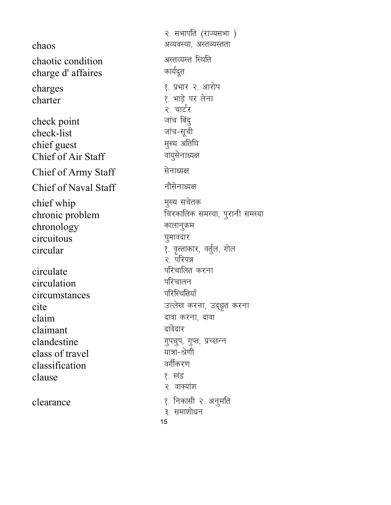२. सभापति (राज्यसभा)  $\mathbf{chaos}$   $\qquad \qquad \qquad$  अव्यवस्था, अस्तव्यस्तता chaotic condition अस्तव्यस्त स्थिति<br>
charge d' affaires कार्यदूत charge d'affaires charges । The settle of the settle and the settle set of the set of the set of the set of the set of the set o charter 1- HkkMs+ ij ysuk २. चार्टर<br>जांच बिंदू check point<br>check-list ज्ञांच नियु check-list<br>chief guest the state of the state of the state of the state of the state of the state of the state of the state<br> $\frac{1}{2}$  and  $\frac{1}{2}$  and  $\frac{1}{2}$  and  $\frac{1}{2}$  and  $\frac{1}{2}$  and  $\frac{1}{2}$  and  $\frac{1}{2}$  and chief guest eq[; vfrfFk Chief of Air Staff Chief of Army Staff सेनाध्यक्ष Chief of Naval Staff नौसेनाध्यक्ष chief whip which which we have the set of the set of the set of the set of the set of the set of the set of th chronic problem fatenthes metal fates and the chronic problem  $\alpha$ chronology (कालानुक्रम circuitous ?kqekonkj  $circular$   $\alpha$  and  $\beta$  are  $\beta$  are  $\beta$  and  $\gamma$  are  $\beta$ २. परिपत्र circulate **interest and the set of the set of the set of the set of the set of the set of the set of the set o<br>Extending the set of the set of the set of the set of the set of the set of the set of the set of the set of t** circulation circumstances परिस्थितियाँ  $\text{cite}$  and  $\text{G}$  and  $\text{G}$  and  $\text{G}$  and  $\text{G}$  and  $\text{G}$  are discrepance of  $\text{G}$  $\mathop{\text{claim}}$  and  $\mathop{\text{right}}$  and  $\mathop{\text{right}}$  and  $\mathop{\text{right}}$  $claimant$   $\qquad \qquad$   $\qquad$   $\qquad$   $\qquad$   $\qquad$   $\qquad$   $\qquad$   $\qquad$   $\qquad$   $\qquad$   $\qquad$   $\qquad$   $\qquad$   $\qquad$   $\qquad$   $\qquad$   $\qquad$   $\qquad$   $\qquad$   $\qquad$   $\qquad$   $\qquad$   $\qquad$   $\qquad$   $\qquad$   $\qquad$   $\qquad$   $\qquad$   $\qquad$   $\qquad$   $\qquad$   $\qquad$   $\qquad$   $\qquad$   $\qquad$   $\$ clandestine  $\frac{1}{2}$   $\frac{1}{2}$   $\frac{1}{2}$   $\frac{1}{2}$   $\frac{1}{2}$   $\frac{1}{2}$   $\frac{1}{2}$   $\frac{1}{2}$   $\frac{1}{2}$   $\frac{1}{2}$   $\frac{1}{2}$   $\frac{1}{2}$   $\frac{1}{2}$   $\frac{1}{2}$   $\frac{1}{2}$   $\frac{1}{2}$   $\frac{1}{2}$   $\frac{1}{2}$   $\frac{1}{2}$   $\frac{1}{2}$   $\frac{1}{2}$ class of travel ;k=k&Js.kh classification clause । अन्यान स्थान स्थान स्थान स्थान स्थान स्थान स्थान स्थान स्थान स्थान स्थान स्थान स्थान स्थान स्थान स्था २. वाक्यांश clearance 1- fudklh 2- vuqefr ३. समाशोधन

15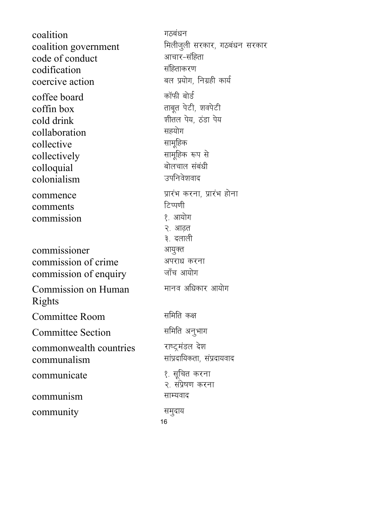16 coalition which we have the set of the set of the set of the set of the set of the set of the set of the set o coalition government Fedingen aren't, गठबंधन सरकार code of conduct vkpkj&lafgrk codification coercive action and the state of the set of the coercive action coffee board and which was not all the board coffin box and a read and the set of the set of the set of the set of the set of the set of the set of the set cold drink when the set of the set of the set of the set of the set of the set of the set of the set of the se collaboration सहयोग<br>collective सामूहिक collective बामूहिक<br>collectively कामूहिक रूप से collectively lkewfgd :i ls colloquial cksypky laca/kh colonialism commence izkajah diuklahk dikelahk dikelahkan pada tahun dikelahkan pada tahun dikelahkan pada tahun dikelahka<br>Hak di bahk di bahk di bahk di bahk di bahk di bahk di bahk di bahk di bahk di bahk di bahk di bahk di bahk di comments fVIi.kh commission २. आढ़त ३. दलाली commissioner अयुक्त commission of crime अपराध करना commission of enquiry Commission on Human Rights मानव अधिकार आयोग Committee Room The समिति कक्ष Committee Section समिति अनुभाग commonwealth countries राष्ट्रमंडल देश  $communalism$  and  $relax$  and  $relax$  and  $relax$ communicate 1- 1-12 (अर्था करना २. संप्रेषण करना communism साम्यवाद community समुदाय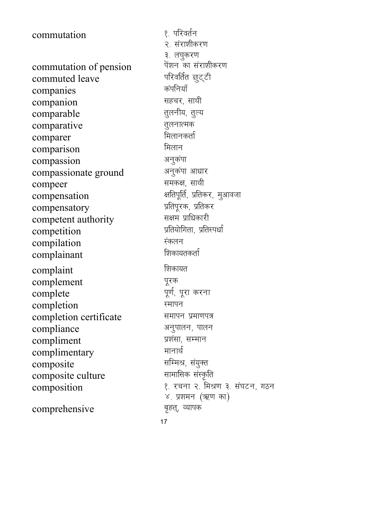commutation of pension <sup>पेशन</sup> का संराशी<br>commuted leave <sup>परिवर्तित छूट्टी</sup> commuted leave <sup>परिवर्तित</sup><br>companies <sup>कंपनियाँ</sup> companies कपानेयां<br>companion सहचर, साथी companion comparable <sub>तुलनीय, तुल्य</sub> comparative तुलनात्मक comparer Fewall and The Fewall and The Fewall and The Fewall and The Fewall and The Fewall and The Fewall and comparison मिलान<br>compassion अनुकंपा compassion<br>compassionate ground अनुकंपा आधार compassionate ground अनुकंपा आधा<br>compeer समकक्ष, साथी compeer compensation <sup>a</sup> अतिपूर्ति, प्रतिकर, मुआवजा<br>compensatory प्रतिपूरक, प्रतिकर compensatory izfriwjd] izfrdj competent authority competition which we have the settlement of the settlement of the settlement of the settlement of the settlement of the settlement of the settlement of the settlement of the settlement of the settlement of the settlement compilation Ladyu complainant complaint हिला के लिकायत complement पूरक complete version of the complete completion स्मापन completion certificate समापन प्रमाणपत्र compliance अनुपालन, पालन compliment iz'kalk] lEeku complimentary composite<br>
composite culture<br>
example and the set of the set of the set of the set of the set of the set of the set of the set of the set of the set of the set of the set of the set of the set of the set of the set of the composite culture composition 1- jpuk 2- feJ.k 3- la?kVu] xBu

comprehensive बृहत्, व्यापक

commutation । अन्यान्ध्रः परिवर्तन २. संराशीकरण ३. लघुकरण<br>पेंशन का संराशीकरण  $\times$  प्रशमन (ऋण का)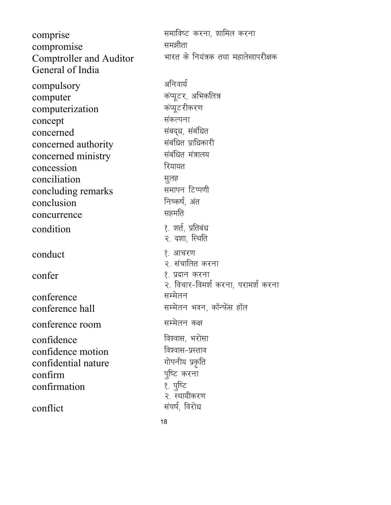comprise and the settlement of the settlement of the settlement of the settlement of the settlement of the set<br>  $\frac{1}{2}$  and  $\frac{1}{2}$  and  $\frac{1}{2}$  and  $\frac{1}{2}$  and  $\frac{1}{2}$  and  $\frac{1}{2}$  and  $\frac{1}{2}$  are settlement compromise Comptroller and Auditor General of India भारत के नियंत्रक तथा महालेखापरीक्षक compulsory अनिवार्य computer<br>
computerization कंप्यूटरीकरण<br>
कंप्यूटरीकरण computerization concept संकल्पना concerned<br>concerned authority<br>concerned authority concerned authority concerned ministry संबंधित मंत्रालय concession **R**यायत conciliation lqyg concluding remarks समापन टिप्प<br>conclusion निष्कर्ष, अंत conclusion निष्कर्षे<br>concurrence सहमति concurrence condition । अन्यान स्थान, प्रतिबंध २. दशा, स्थिति  $\mathsf{conduct} \qquad \qquad \{ \quad \text{and} \quad \quad \}$ २. संचालित करना confer 1- iznku djuk २. विचार-विमर्श करना, परामर्श करना  $\text{conference}$  । सम्मेलन conference hall and the state of the conference hall conference room सम्मेलन कक्ष confidence बिश्वास, भरोसा confidence motion विश्वास-प्रस्ताव<br>confidential nature गोपनीय प्रकृति confidential nature confirm<br>
confirmation । ज़रिट करना confirmation २. स्थायीकरण conflict and the settlement of the settlement of the settlement of the settlement of the settlement of the set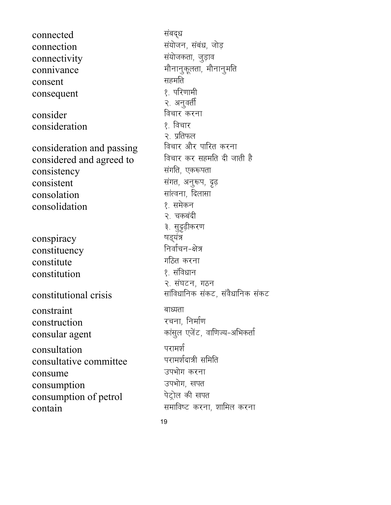connected संबद्ध connection संयोजन, संबंध, जोड़<br>connectivity संयोजकता, जुड़ाव connectivity connivance example and the settlement of the settlement of the settlement of the settlement of the settlement o consent सहमति<br>consequent १ परिणामी consequent consider fopkj djuk consideration consideration and passing formulation  $\frac{1}{2}$  in the following formulation on  $\frac{1}{2}$  in the following  $\frac{1}{2}$  in the following formulation  $\frac{1}{2}$  in the following formulation  $\frac{1}{2}$  in the following formulat considered and agreed to consistency संगति, एकरूपता  $\frac{1}{2}$  consistent and  $\frac{1}{2}$  and  $\frac{1}{2}$  and  $\frac{1}{2}$  and  $\frac{1}{2}$  and  $\frac{1}{2}$  and  $\frac{1}{2}$  and  $\frac{1}{2}$  and  $\frac{1}{2}$  and  $\frac{1}{2}$  and  $\frac{1}{2}$  and  $\frac{1}{2}$  and  $\frac{1}{2}$  and  $\frac{1}{2}$  and  $\frac{1}{2}$  and consolation सांत्वना, दिलासा<br>consolidation १. समेकन consolidation conspiracy "kM~;a= constituency constitute which we have the set of the set of the set of the set of the set of the set of the set of the set o constitution । अन्य प्रशासनिधान constitutional crisis | सांविधानिक संकट, संवैधानिक संकट constraint बाध्यता<br>construction रचना निर्माण construction consular agent delay the might between the consular agent consultation परामर्श<br>consultative committee परामर्शदात्री समिति consultative committee  $\frac{1}{2}$  consume  $\frac{1}{2}$  and  $\frac{1}{2}$  and  $\frac{1}{2}$  are  $\frac{1}{2}$  and  $\frac{1}{2}$  are  $\frac{1}{2}$  and  $\frac{1}{2}$  are  $\frac{1}{2}$  and  $\frac{1}{2}$  are  $\frac{1}{2}$  and  $\frac{1}{2}$  are  $\frac{1}{2}$  and  $\frac{1}{2}$  are  $\frac{1}{2}$  and  $\frac{1}{$ consumption ज्यभोग, खपत<br>consumption of petrol वेट्रोल की खपत consumption of petrol  $\frac{1}{\text{constant}}$  contain

२. अनुवर्ती २. प्रतिफल<br>विचार और पारित करना २. चकबंदी ३. सुदृढ़ीकरण २. संघटन, गठन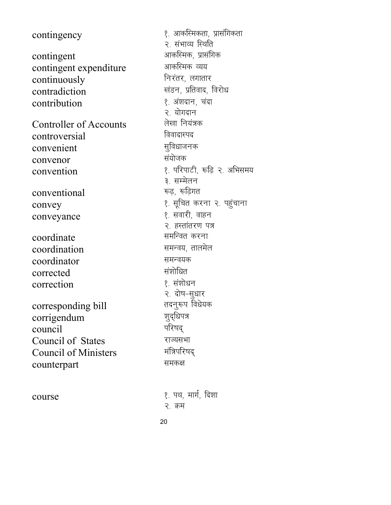contingency contingent contingent expenditure continuously contradiction contribution **Controller of Accounts** controversial convenient convenor convention conventional convey conveyance coordinate coordination coordinator corrected correction corresponding bill corrigendum council Council of States **Council of Ministers** counterpart course

१. आकस्मिकता, प्रासंगिकता २. संभाव्य स्थिति आकस्मिक, प्रासंगिक आकस्मिक व्यय निरंतर, लगातार खंडन, प्रतिवाद, विरोध १. अंशदान, चंदा २. योगदान लेखा नियंत्रक विवादास्पद सूविधाजनक संयोजक १. परिपाटी, रूढि २. अभिसमय ३. सम्मेलन रूढ़, रूढ़िगत १. सूचित करना २. पहुंचाना १. सवारी, वाहन २. हस्तांतरण पत्र समन्वित करना समन्वय, तालमेल समन्वयक संशोधित १. संशोधन २. दोष-सुधार तदनुरूप विधेयक शुद्धिपत्र परिषद राज्यसभा मंत्रिपरिषद् समकक्ष १. पथ, मार्ग, दिशा २ क्रम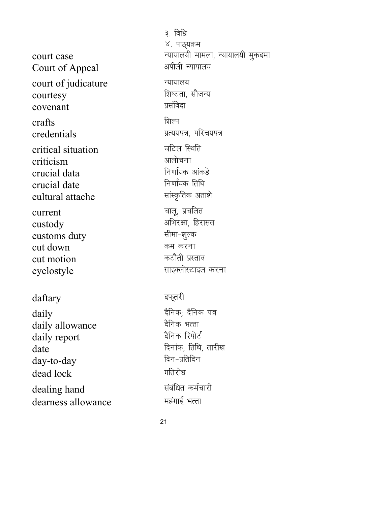court case Court of Appeal court of judicature courtesy covenant crafts credentials critical situation criticism crucial data crucial date cultural attache current custody customs duty cut down cut motion cyclostyle

## daftary

daily daily allowance daily report date day-to-day dead lock dealing hand dearness allowance

३. विधि ४. पाठ्यक्रम न्यायालयी मामला, न्यायालयी मुकदमा अपीली न्यायालय न्यायालय शिष्टता, सौजन्य प्रसंविदा शिल्प प्रत्ययपत्र, परिचयपत्र जटिल स्थिति आलोचना निर्णायक आंकडे निर्णायक तिथि सांस्कृतिक अताशे चालू, प्रचलित अभिरक्षा, हिरासत सीमा-शूल्क कम करना कटौती प्रस्ताव साइक्लोस्टाइल करना

## दफ्तरी

दैनिक; दैनिक पत्र दैनिक भत्ता दैनिक रिपोर्ट दिनांक, तिथि, तारीख दिन-प्रतिदिन गतिरोध संबंधित कर्मचारी महंगाई भत्ता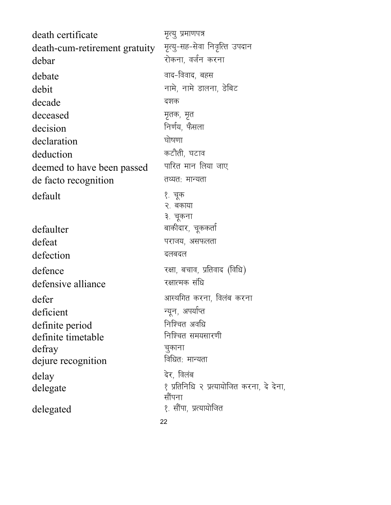| death certificate             | मृत्यु प्रमाणपत्र                         |
|-------------------------------|-------------------------------------------|
| death-cum-retirement gratuity | मृत्यु-सह-सेवा निवृत्ति उपदान             |
| debar                         | रोकना, वर्जन करना                         |
| debate                        | वाद-विवाद, बहस                            |
| debit                         | नामे, नामे डालना, डेबिट                   |
| decade                        | दशक                                       |
| deceased                      | मृतक, मृत                                 |
| decision                      | निर्णय, फैसला                             |
| declaration                   | घोषणा                                     |
| deduction                     | कटौती, घटाव                               |
| deemed to have been passed    | पारित मान लिया जाए                        |
| de facto recognition          | तथ्यतः मान्यता                            |
| default                       | १. चूक<br>२. बकाया<br>३. चूकना            |
| defaulter                     | बाकीदार, चूककर्ता                         |
| defeat                        | पराजय, असफलता                             |
| defection                     | दलबदल                                     |
| defence                       | रक्षा, बचाव, प्रतिवाद (विधि)              |
| defensive alliance            | रक्षात्मक संधि                            |
| defer                         | आस्थगित करना, विलंब करना                  |
| deficient                     | न्यून, अपर्याप्त                          |
| definite period               | निश्चित अवधि                              |
| definite timetable            | निश्चित समयसारणी                          |
| defray                        | चूकाना                                    |
| dejure recognition            | विधितः मान्यता                            |
| delay                         | देर, विलंब                                |
| delegate                      | १ प्रतिनिधि २ प्रत्यायोजित करना, दे देना, |
|                               | सौंपना                                    |
| delegated                     | १. सौंपा, प्रत्यायोजित                    |
|                               | 22                                        |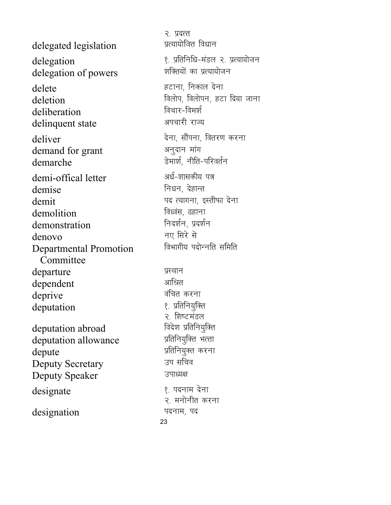delegated legislation delegation delegation of powers delete deletion deliberation delinquent state deliver demand for grant demarche demi-offical letter demise demit demolition demonstration denovo **Departmental Promotion** Committee departure dependent deprive deputation deputation abroad deputation allowance depute **Deputy Secretary Deputy Speaker** 

designate

designation

२. प्रदत्त प्रत्यायोजित विधान १. प्रतिनिधि-मंडल २. प्रत्यायोजन शक्तियों का प्रत्यायोजन हटाना, निकाल देना विलोप, विलोपन, हटा दिया जाना विचार-विमर्श अपचारी राज्य देना, सौंपना, वितरण करना अनुदान मांग डेमार्श. नीति-परिवर्तन अर्ध-शासकीय पत्र निधन, देहान्त पद त्यागना. इस्तीफा देना विध्वंस, ढहाना निदर्शन, प्रदर्शन नए सिरे से विभागीय पदोन्नति समिति प्रस्थान आश्रित वंचित करना १. प्रतिनियुक्ति २. शिष्टमंडल विदेश प्रतिनियुक्ति प्रतिनियुक्ति भत्ता प्रतिनियुक्त करना उप सचिव उपाध्यक्ष १. पदनाम देना २. मनोनीत करना पदनाम, पद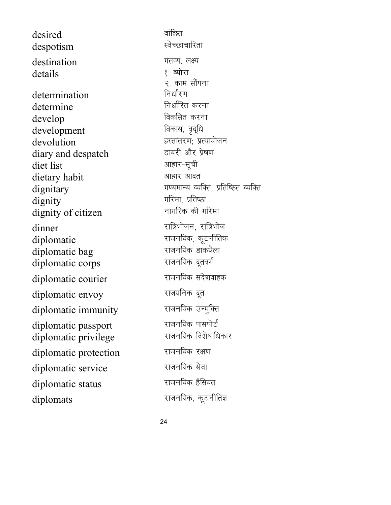desired despotism destination details determination determine develop development devolution diary and despatch diet list dietary habit dignitary dignity dignity of citizen dinner diplomatic diplomatic bag diplomatic corps diplomatic courier diplomatic envoy diplomatic immunity diplomatic passport diplomatic privilege diplomatic protection diplomatic service diplomatic status diplomats

वांछित स्वेच्छाचारिता गंतव्य, लक्ष्य १ ब्योरा २. काम सौंपना निर्धारण निर्धारित करना विकसित करना विकास, वृद्धि हस्तांतरण; प्रत्यायोजन डायरी और प्रेषण आहार-सूची आहार आदत गण्यमान्य व्यक्ति, प्रतिष्ठित व्यक्ति गरिमा, प्रतिष्ठा नागरिक की गरिमा रात्रिभोजन, रात्रिभोज राजनयिक, कूटनीतिक राजनयिक डाकथैला राजनयिक दूतवर्ग राजनयिक संदेशवाहक राजयनिक दूत राजनयिक उन्मुक्ति राजनयिक पासपोर्ट राजनयिक विशेषाधिकार राजनयिक रक्षण राजनयिक सेवा राजनयिक हैसियत राजनयिक, कूटनीतिज्ञ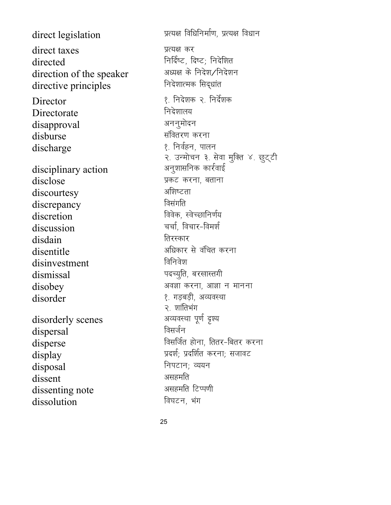direct legislation direct taxes directed direction of the speaker directive principles Director Directorate disapproval disburse discharge disciplinary action disclose discourtesy discrepancy discretion discussion disdain disentitle disinvestment dismissal disobey disorder disorderly scenes dispersal disperse display disposal dissent dissenting note dissolution

प्रत्यक्ष विधिनिर्माण, प्रत्यक्ष विधान प्रत्यक्ष कर निर्दिष्ट, दिष्ट; निदेशित अध्यक्ष के निदेश/निदेशन निदेशात्मक सिद्धांत १. निदेशक २. निर्देशक निदेशालय अननुमोदन संवितरण करना १. निर्वहन, पालन २. उन्मोचन ३. सेवा मुक्ति ४. छुट्टी अनुशासनिक कार्रवाई प्रकट करना, बताना अशिष्टता विसंगति विवेक, स्वेच्छानिर्णय चर्चा, विचार-विमर्श तिरस्कार अधिकार से वंचित करना विनिवेश पदच्युति, बरखास्तगी अवज्ञा करना, आज्ञा न मानना १. गड़बड़ी, अव्यवस्था २. शांतिभंग अव्यवस्था पूर्ण दृश्य विसर्जन विसर्जित होना, तितर-बितर करना प्रदर्श; प्रदर्शित करना; सजावट निपटान; व्ययन असहमति असहमति टिप्पणी विघटन, भंग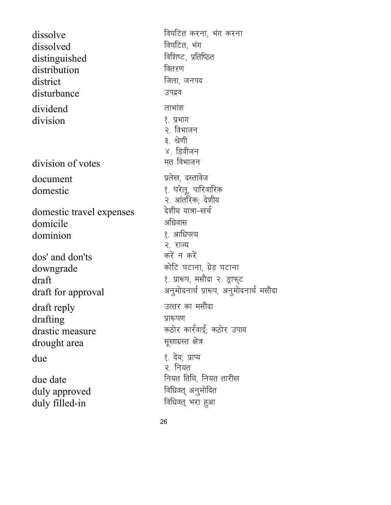dissolve dissolved distinguished distribution district disturbance dividend division division of votes document domestic domestic travel expenses domicile dominion dos' and don'ts downgrade draft draft for approval draft reply drafting drastic measure drought area due due date duly approved duly filled-in

विघटित करना, भंग करना विघटित, भंग विशिष्ट, प्रतिष्ठित वितरण जिला, जनपद उपद्रव लाभांश १. प्रभाग २. विभाजन ३. श्रेणी ४ डिवीजन मत विभाजन प्रलेख, दस्तावेज १. घरेलू, पारिवारिक २. आंतरिक; देशीय देशीय यात्रा-खर्च अधिवास १ आधिपत्य २. राज्य करें न करें कोटि घटाना, ग्रेड घटाना १. प्रारूप, मसौदा २. ड्राफ्ट अनुमोदनार्थ प्रारूप, अनुमोदनार्थ मसौदा उत्तर का मसौदा प्रारूपण कठोर कार्रवाई; कठोर उपाय सूखाग्रस्त क्षेत्र १. देय: प्राप्य २. नियत नियत तिथि, नियत तारीख विधिवत् अनूमोदित विधिवत् भरा हुआ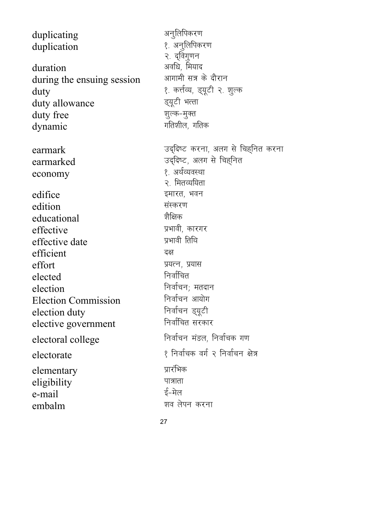duplicating अनुलिपिकरण duplication 2. अनुलिपिकरण २. दविगूणन duration vofèk] fe;kn during the ensuing session duty<br>
duty allowance<br>
duty allowance<br>
Entity allowance<br>
Entity allowance duty allowance duty free '' अल्क-मुक्त dynamic variation of the strategy of the strategy of the strategy of the strategy of the strategy of the strategy of the strategy of the strategy of the strategy of the strategy of the strategy of the strategy of the stra earmark matter matter was died to the search of the search of the search of the search of the search of the se  $\begin{array}{ccc}\n \text{earmarked} & \text{or} & \text{neg} & \text{neg} \\
 \text{exponent} & \text{exponent} & \text{exponent} & \text{exponent} \\
 \text{exponent} & \text{exponent} & \text{exponent} & \text{exponent} \\
 \end{array}$ economy २. मितव्ययिता edifice बाद करना रहमारत, भवन edition संस्करण<br>educational ज्ञीक्षिक educational effective unit of the settle in the settle of the settle settle in the settle settle in the settle set of the s<br>Here is a set of the settle settle set of the settle set of the set of the set of the set of the set of the s effective date efficient बक्ष effort प्रयत्न, प्रयास<br>elected निर्वाचित elected election fuokZpu( ernku Election Commission fuokZpu vk;ksx election duty fuokZpu M~;wVh elective government electoral college Fundation Fundation and The Fundational College  $\text{electorate}$   $\text{R}$  frate  $\text{R}$   $\text{R}$  function  $\text{R}$   $\text{R}$  function  $\text{R}$   $\text{R}$   $\text{R}$   $\text{R}$   $\text{R}$   $\text{R}$   $\text{R}$   $\text{R}$   $\text{R}$   $\text{R}$   $\text{R}$   $\text{R}$   $\text{R}$   $\text{R}$   $\text{R}$   $\text{R}$   $\text{R}$   $\text{R}$   $\$ elementary प्रारंभिक eligibility **THE SERVIS TENSO TENSOR**  $e$ -mail  $\overline{\epsilon}$ -मेल embalm 'ko ya shekarar wa shekarar wasan a shekarar wasan a shekarar wasan da a shekarar wasan a shekarar wasa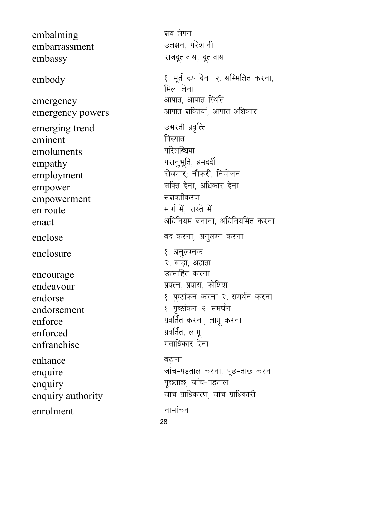embalming embarrassment embassy embody emergency emergency powers emerging trend eminent emoluments empathy employment empower empowerment en route enact enclose enclosure encourage endeavour endorse endorsement enforce enforced enfranchise enhance enquire enquiry enquiry authority enrolment

शव लेपन उलझन, परेशानी राजदूतावास, दूतावास १. मूर्त रूप देना २. सम्मिलित करना, मिला लेना आपात. आपात स्थिति आपात शक्तियां, आपात अधिकार उभरती प्रवृत्ति विख्यात परिलब्धियां परानुभूति, हमदर्दी रोजगार; नौकरी, नियोजन शक्ति देना, अधिकार देना सशक्तीकरण मार्ग में, रास्ते में अधिनियम बनाना, अधिनियमित करना बंद करना; अनुलग्न करना १. अनुलग्नक २. बाड़ा, अहाता उत्साहित करना प्रयत्न, प्रयास, कोशिश १. पृष्ठांकन करना २. समर्थन करना १. पृष्ठांकन २. समर्थन प्रवर्तित करना, लागू करना प्रवर्तित, लागू मताधिकार देना बढाना जांच-पड़ताल करना, पूछ-ताछ करना पूछताछ, जांच-पड़ताल जांच प्राधिकरण. जांच प्राधिकारी नामांकन 28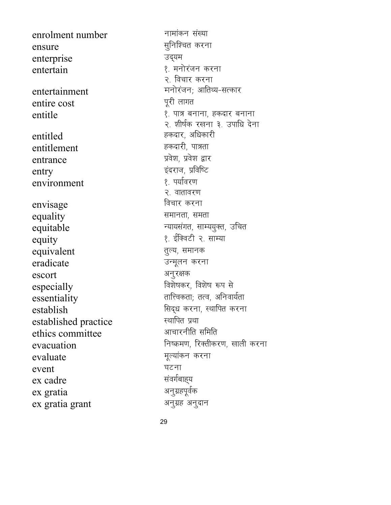enrolment number ensure enterprise entertain entertainment entire cost entitle entitled entitlement entrance entry environment envisage equality equitable equity equivalent eradicate escort especially essentiality establish established practice ethics committee evacuation evaluate event ex cadre ex gratia ex gratia grant

नामांकन संख्या सुनिश्चित करना उद्यम १. मनोरंजन करना २. विचार करना मनोरंजन; आतिथ्य-सत्कार पुरी लागत १. पात्र बनाना, हकदार बनाना २. शीर्षक रखना ३. उपाधि देना हकदार, अधिकारी हकदारी, पात्रता प्रवेश. प्रवेश द्वार इंदराज, प्रविष्टि १. पर्यावरण २. वातावरण विचार करना समानता, समता न्यायसंगत, साम्ययूक्त, उचित १. ईक्विटी २. साम्या तूल्य, समानक उन्मूलन करना अनुरक्षक विशेषकर, विशेष रूप से तात्विकता; तत्व, अनिवार्यता सिद्ध करना, स्थापित करना स्थापित प्रथा आचारनीति समिति निष्क्रमण, रिक्तीकरण, खाली करना मूल्यांकन करना घटना संवर्गबाह्य अनुग्रहपूर्वक अनुग्रह अनुदान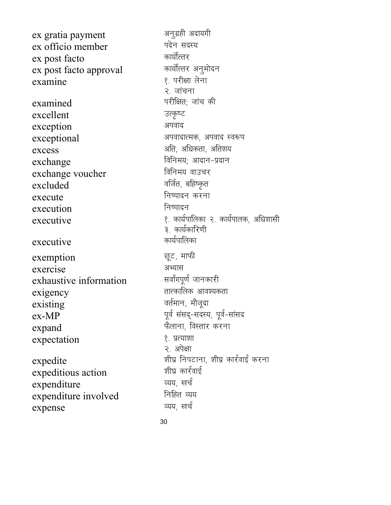ex gratia payment ex officio member ex post facto ex post facto approval examine examined excellent exception exceptional excess exchange exchange voucher excluded execute execution executive executive exemption exercise exhaustive information exigency existing  $ex-MP$ expand expectation expedite expeditious action expenditure expenditure involved expense

अनुग्रही अदायगी पदेन सदस्य कार्योत्तर कार्योत्तर अनुमोदन १. परीक्षा लेना २. जांचना परीक्षित: जांच की उत्कृष्ट अपवाद अपवादात्मक, अपवाद स्वरूप अति, अधिकता, अतिशय विनिमय; आदान-प्रदान विनिमय वाउचर वर्जित, बहिष्कृत निष्पादन करना निष्पादन १. कार्यपालिका २. कार्यपालक, अधिशासी ३. कार्यकारिणी कार्यपालिका छूट, माफी अभ्यास सर्वांगपूर्ण जानकारी तात्कालिक आवश्यकता वर्तमान, मौजूदा पूर्व संसद्-सदस्य, पूर्व-सांसद फैलाना, विस्तार करना १. प्रत्याशा २. अपेक्षा शीघ्र निपटाना, शीघ्र कार्रवाई करना शीघ्र कार्रवाई व्यय, खर्च निहित व्यय व्यय. खर्च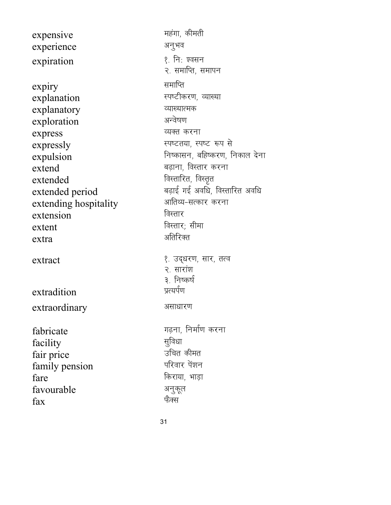expensive Figure and Therman Herman Herman Herman Herman Herman Herman Herman Herman Herman Herman H experience अनुभव expiration १. निः ज़्वसन  $\exp$ iry समापित explanation स्पष्टीकरण, व्याख्या explanatory व्याख्यात्मक<br>exploration अन्वेषण exploration express व्यक्त करना expressly expressly the contract of the contract of the contract of the contract of the contract of the contract of the contract of the contract of the contract of the contract of the contract of the contract of the contr expulsion frum frum fundamental function function function  $\mathsf{F}$  $ext{end}$  agram, विस्तार करना  $extended$  for  $\frac{1}{2}$  for  $\frac{1}{2}$  for  $\frac{1}{2}$  for  $\frac{1}{2}$  for  $\frac{1}{2}$  for  $\frac{1}{2}$  for  $\frac{1}{2}$  for  $\frac{1}{2}$  for  $\frac{1}{2}$  for  $\frac{1}{2}$  for  $\frac{1}{2}$  for  $\frac{1}{2}$  for  $\frac{1}{2}$  for  $\frac{1}{2}$  for  $\frac{1}{2}$  for extended period a बढ़ाई गई अवधि, विस्तारित अवधि<br>extending hospitality - अातिथ्य-सत्कार करना extending hospitality extension and a factor and a factor of the set of the set of  $\mathbb{R}$  $\text{extent}$  and  $\text{eta}$  and  $\text{eta}$  and  $\text{eta}$  $ext{ra}$  and  $ext{ra}$  and  $ext{ra}$ extract extract and the set of the set of the set of the set of the set of the set of the set of the set of th extradition extraordinary असाधारण fabricate x<+uk] fuekZ.k djuk facility lqfoèkk fair price ज्ञीन उचित कीमत<br>family pension किया परिवार पेंशन family pension  $\int \frac{dx}{dx}$  fare  $\int \frac{dx}{dx}$  and  $\int \frac{dx}{dx}$  fare  $\int \frac{dx}{dx}$ favourable अनुकूल<br>स्रिप्  $\boldsymbol{\mathrm{fax}}$  , and the contract of  $\boldsymbol{\mathrm{fax}}$ 

२. समाप्ति, समापन २. सारांश ३. निष्कर्ष<br>प्रत्यर्पण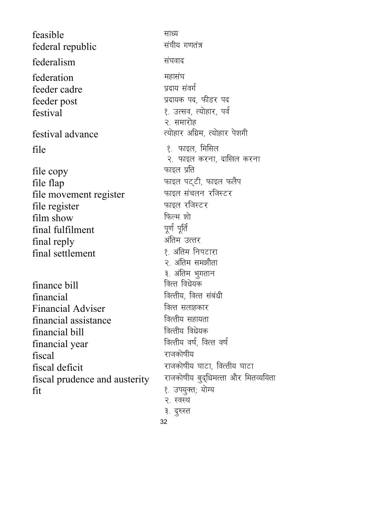feasible lkè; federal republic federalism संघवाद federation **सहा**संघ feeder cadre izna izna yara संवर्ग feeder post in the state of the state of the state of the state of the state of the state of the state of the s  $festival$  are the setting of the setting  $\ell$  is graden and  $\ell$  is graden and  $\ell$ festival advance The Richard Richard R; (सोहार पेशागी  $file$   $\{9, 9, 10\}$  काइल, मिसिल file copy **and the copy** when we have the set of  $\eta$ file flap<br>
file movement register<br>
The movement register<br>
The movement register<br>
The strate of the strate of the contract of the strategy and the strategy of the movement register file movement register काइल संचलन<br>File register काइल रजिस्टर file register काइल रहिला<br>film show film show किल्म शे<br>final fulfilment पूर्ण पूर्ति final fulfilment final reply vafre mRrj final settlement finance bill financial for the fact of the fact of the form of the form of the form of the form of the form of the form of  $\Gamma$ Financial Adviser Form वित्त सलाहकार financial assistance वित्तीय सहायता<br>financial bill वित्तीय विधेयक financial bill foRrh; foèks;d financial year  $f_{\text{IS}}$  $f_{\text{IS}}$  $f_{\text{IS}}$  $f_{\text{IS}}$  $f_{\text{IS}}$  $f_{\text{IS}}$  $f_{\text{IS}}$  $f_{\text{IS}}$  $f_{\text{IS}}$  $f_{\text{IS}}$  $f_{\text{IS}}$  $f_{\text{IS}}$  $f_{\text{IS}}$  $f_{\text{IS}}$  $f_{\text{IS}}$  $f_{\text{IS}}$  $f_{\text{IS}}$  $f_{\text{IS}}$  $f_{\text{IS}}$  $f_{\text{IS}}$  $f_{\text{IS}}$  $f_{\text{IS}}$  $f_{\text{IS}}$  $f_{\text{IS}}$  $f_{\$ fiscal prudence and austerity fit 1- mi;qDr( ;ksX;

२. समारोह २. फाइल करना, दाखिल करना २. अंतिम समझौता ३. अंतिम भुगतान<br>वित्त विधेयक fiscal deficit<br>fiscal prudence and austerity राजकोषीय बुद्धिमत्ता और मितव्ययिता २. स्वस्थ ३. दुरुस्त

32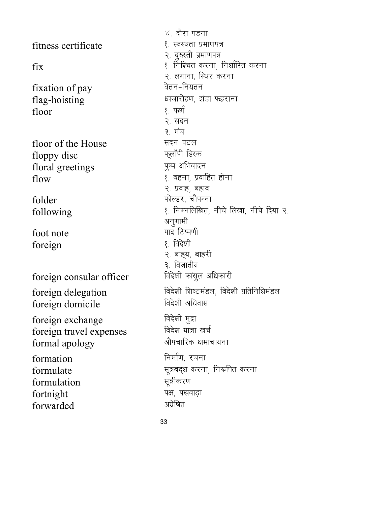fitness certificate 1- 1- 1- 2 Research in the set of the set of the set of the set of the set of the set of the set of the set of the set of the set of the set of the set of the set of the set of the set of the set of th  $fixation$  of  $pay$   $\frac{1}{2}$   $\frac{1}{2}$   $\frac{1}{2}$   $\frac{1}{2}$   $\frac{1}{2}$   $\frac{1}{2}$   $\frac{1}{2}$   $\frac{1}{2}$   $\frac{1}{2}$   $\frac{1}{2}$   $\frac{1}{2}$   $\frac{1}{2}$   $\frac{1}{2}$   $\frac{1}{2}$   $\frac{1}{2}$   $\frac{1}{2}$   $\frac{1}{2}$   $\frac{1}{2}$   $\frac{1}{2}$   $\frac{1}{2}$   $\frac{1}{2}$  $flag-hoisting$   $\qquad$   $\qquad$   $\qquad$   $\qquad$   $\qquad$   $\qquad$   $\qquad$   $\qquad$   $\qquad$   $\qquad$   $\qquad$   $\qquad$   $\qquad$   $\qquad$   $\qquad$   $\qquad$   $\qquad$   $\qquad$   $\qquad$   $\qquad$   $\qquad$   $\qquad$   $\qquad$   $\qquad$   $\qquad$   $\qquad$   $\qquad$   $\qquad$   $\qquad$   $\qquad$   $\qquad$   $\qquad$   $\qquad$   $\qquad$   $\qquad$   $\q$  $floor$  ।  $\frac{1}{2}$  , फर्श floor of the House स्वत्र पटल<br>floppy disc प्लॉपी डिस्क floppy disc Q~ykWih fMLd floral greetings  $\lim_{x \to \infty} \frac{1}{x}$  is the contract  $\lim_{x \to \infty} \frac{1}{x}$  is the contract  $\lim_{x \to \infty} \frac{1}{x}$  $f$ older  $\qquad \qquad$  फोल्डर, चौपन्ना foot note<br>foreign and the set of the set of the set of the set of the set of the set of the set of the set of the set of<br> $\ell$ , विदेशी foreign foreign consular officer foreign domicile बिदेशी अधिवास foreign exchange and the fact the fact the foreign travel expenses  $\frac{1}{\pi}$  foreign travel expenses  $\frac{1}{\pi}$  ,  $\frac{1}{\pi}$  ,  $\frac{1}{\pi}$   $\frac{1}{\pi}$   $\frac{1}{\pi}$   $\frac{1}{\pi}$   $\frac{1}{\pi}$   $\frac{1}{\pi}$   $\frac{1}{\pi}$   $\frac{1}{\pi}$   $\frac{1}{\pi}$   $\frac{1}{\pi}$   $\frac{1}{\pi}$   $\frac{1}{\pi}$   $\frac{1}{\pi}$   $\frac{1}{\pi}$   $\frac{1$ formal apology  $formation$   $\qquad \qquad$  निर्माण, रचना formulate  $\frac{1}{k}$   $\frac{1}{k}$   $\frac{1}{k}$   $\frac{1}{k}$   $\frac{1}{k}$   $\frac{1}{k}$   $\frac{1}{k}$   $\frac{1}{k}$   $\frac{1}{k}$   $\frac{1}{k}$   $\frac{1}{k}$   $\frac{1}{k}$   $\frac{1}{k}$   $\frac{1}{k}$   $\frac{1}{k}$   $\frac{1}{k}$   $\frac{1}{k}$   $\frac{1}{k}$   $\frac{1}{k}$   $\frac{1}{k}$   $\frac{1}{k}$  formulation fortnight पक्ष, पखवाड़ा<br>forwarded अग्रेषित forwarded

४. दौरा पड़ना २. दुरुस्ती प्रमाणपत्र  $\operatorname{fix}$  1- fixed to the distribution of the function of  $\operatorname{Ric}$  and  $\operatorname{Ric}$  distribution of  $\operatorname{Ric}$ २. लगाना, स्थिर करना २. सदन ३. मंच २. प्रवाह, बहाव following 1- fuEufyf[kr] uhps fy[kk] uhps fn;k 2- अनूगामी २. बाह्य, बाहरी ३. विजातीय<br>विदेशी कांसुल अधिकारी foreign delegation foreign delegation foreign and the set of the set of the foreign delegation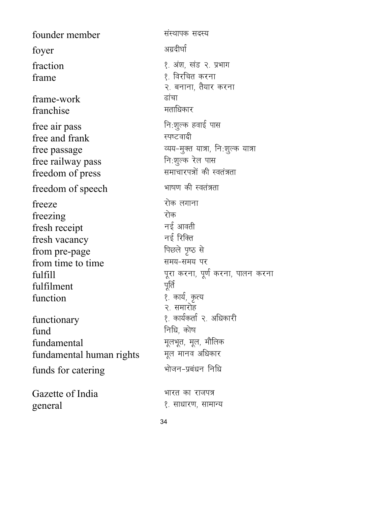founder member संस्थापक सदस्य अग्रदीर्घा foyer १. अंश, खंड २. प्रभाग fraction १. विरचित करना frame २. बनाना, तैयार करना frame-work ढांचा मताधिकार franchise नि:शुल्क हवाई पास free air pass स्पष्टवादी free and frank व्यय-मुक्त यात्रा, नि:शुल्क यात्रा free passage नि:शुल्क रेल पास free railway pass समाचारपत्रों की स्वतंत्रता freedom of press भाषण की स्वतंत्रता freedom of speech रोक लगाना freeze रोक freezing नई आवती fresh receipt नई रिक्ति fresh vacancy पिछले पृष्ठ से from pre-page समय-समय पर from time to time पूरा करना, पूर्ण करना, पालन करना fulfill पूर्ति fulfilment १. कार्य, कृत्य function २. समारोह १. कार्यकर्ता २. अधिकारी functionary निधि, कोष fund मूलभूत, मूल, मौलिक fundamental मूल मानव अधिकार fundamental human rights भोजन-प्रबंधन निधि funds for catering Gazette of India भारत का राजपत्र general १. साधारण, सामान्य

34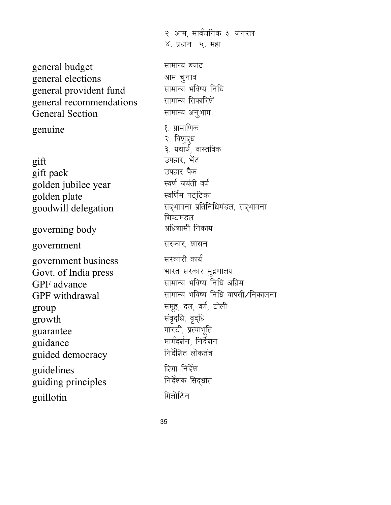general budget and the state of the state of the state of the state of the state of the state of the state of t general elections vke pquko general provident fund <sup>सामान्य भविष्य नि</sup><br>general recommendations सामान्य सिफारिशें general recommendations General Section and Electrical Section genuine 1- 12 states and the set of the set of the set of the set of the set of the set of the set of the set o  $\text{gift}$   $\qquad \qquad \text{gift}$ gift pack migkj iSd golden jubilee year Lo.kZ t;arh o"kZ golden plate  $\overline{g}$ oodwill delegation  $\overline{h}$ सद्भावना प्रतिनिधिमंडल, सद्भावना governing body values and starting body government सरकार, शासन government business<br>
Govt. of India press भारत सरकार मुद्रणालय Govt. of India press. GPF advance and the settlement of the GPF advance  $group$   $\qquad \qquad \qquad$   $\qquad \qquad$   $\qquad \qquad$   $\qquad \qquad$   $\qquad \qquad$   $\qquad \qquad$   $\qquad \qquad$   $\qquad \qquad$   $\qquad \qquad$   $\qquad \qquad$   $\qquad \qquad$   $\qquad \qquad$   $\qquad \qquad$   $\qquad \qquad$   $\qquad \qquad$   $\qquad \qquad$   $\qquad \qquad$   $\qquad \qquad$   $\qquad \qquad$   $\qquad \qquad$   $\qquad \qquad$   $\qquad \qquad$   $\qquad \qquad$   $\qquad \q$  $\frac{1}{2}$  arowth  $\frac{1}{2}$ guarantee Michael History (Particle Press) ँ extending puidance<br>The extending of the set of the extent of the extent of the extent of the extent of the extent of the extent o<br>The function of the extent of the extent of the extent of the extent of the extent of th guided democracy guidelines fn'kk&funsZ'k guiding principles guillotin **fixth**  $\theta$  ,  $\theta$  ,  $\theta$  ,  $\theta$  ,  $\theta$  ,  $\theta$  ,  $\theta$  ,  $\theta$  ,  $\theta$  ,  $\theta$  ,  $\theta$  ,  $\theta$  ,  $\theta$  ,  $\theta$  ,  $\theta$  ,  $\theta$  ,  $\theta$  ,  $\theta$  ,  $\theta$  ,  $\theta$  ,  $\theta$  ,  $\theta$  ,  $\theta$  ,  $\theta$  ,  $\theta$  ,  $\theta$  ,  $\theta$  ,  $\theta$  ,  $\theta$  ,

 $\chi$ , प्रधान $\chi$ , महा २. विशुद्ध ३. यथार्थ, वास्तविक शिष्टमंडल  $GPF$  withdrawal  $GPF$  सामान्य भविष्य निधि वापसी/निकालना

२. आम, सार्वजनिक ३. जनरल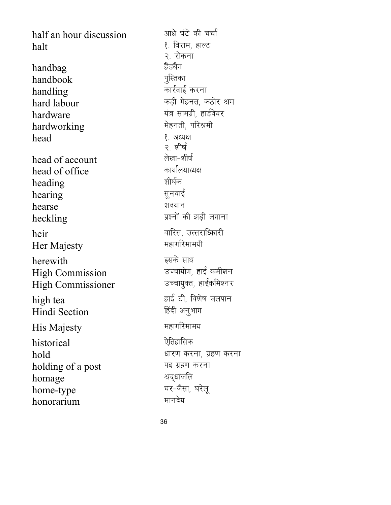half an hour discussion and start in the start and half and halt 1- fojke] gkYV handbag gSaMcSx handbook handling and the metal of the model of the model of the model of the model of the model of the model of the mo hard labour and the settle and the hard labour hardware ;a= lkexzh] gkMZos;j hardworking head  $\langle \cdot \rangle$  अध्यक्ष head of account ys[kk&'kh"kZ head of office <sup>कार्याल</sup><br>heading : <del>शोर्षक</del> heading क्षीषेक<br>hearing सुनवाई hearing hearse 'ko; संस्थान heckling izon was the best when the best former and the set of the set of the set of the set of the set of the heir okfjl] mRrjkf/dkjh Her Majesty herewith<br>High Commission उच्चायोग, हाई कमीशन High Commission उच्चायोग, हाई कमीशन<br>High Commissioner उच्चायुक्त, हाईकमिश्नर High Commissioner high tea gkbZ Vh] fo'ks"k tyiku Hindi Section His Majesty **Example 3** Finally Reserved and His Majesty historical कार्यक्रम के प्रतिहासिक  $hold$  and  $h$  and  $h$  are  $h$  and  $h$  are  $h$  are  $h$  and  $h$  are  $h$  are  $h$  and  $h$  are  $h$  and  $h$  are  $h$  and  $h$  are  $h$  and  $h$  are  $h$  and  $h$  are  $h$  and  $h$  are  $h$  and  $h$  are  $h$  and  $h$  are  $h$  and  $h$  are  $h$ holding of a post पद ग्रहण करना homage अद्धांजलि<br>home-tyne घर-जैसा, घरेलू home-type  $h$ onorarium exuments; when  $\frac{1}{2}$ 

२. रोकना ২ খ্যার্ড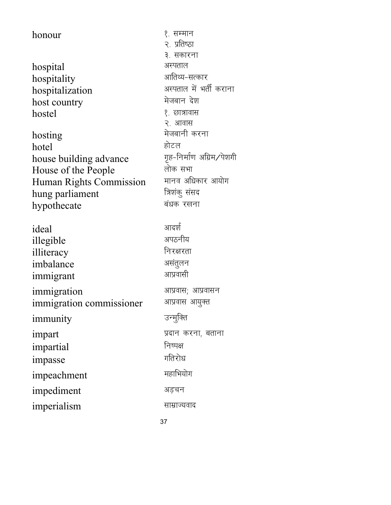| honour                   | १. सम्मान                  |
|--------------------------|----------------------------|
|                          | २. प्रतिष्ठा               |
|                          | ३. सकारना                  |
| hospital                 | अस्पताल                    |
| hospitality              | आतिथ्य-सत्कार              |
| hospitalization          | अस्पताल में भर्ती कराना    |
| host country             | मेजबान देश                 |
| hostel                   | १. छात्रावास               |
|                          | २. आवास                    |
| hosting                  | मेजबानी करना               |
| hotel                    | होटल                       |
| house building advance   | गृह-निर्माण अग्रिम ∕ पेशगी |
| House of the People      | लोक सभा                    |
| Human Rights Commission  | मानव अधिकार आयोग           |
| hung parliament          | त्रिशंकु संसद              |
| hypothecate              | बंधक रखना                  |
|                          |                            |
|                          |                            |
| ideal                    | आदर्श                      |
|                          | अपठनीय                     |
| illegible                | निरक्षरता                  |
| illiteracy<br>imbalance  | असंतुलन                    |
| immigrant                | आप्रवासी                   |
|                          |                            |
| immigration              | आप्रवास; आप्रवासन          |
| immigration commissioner | आप्रवास आयुक्त             |
| immunity                 | उन्मुक्ति                  |
| impart                   | प्रदान करना, बताना         |
| impartial                | निष्पक्ष                   |
| <i>impasse</i>           | गतिरोध                     |
| impeachment              | महाभियोग                   |
| impediment               | अडचन                       |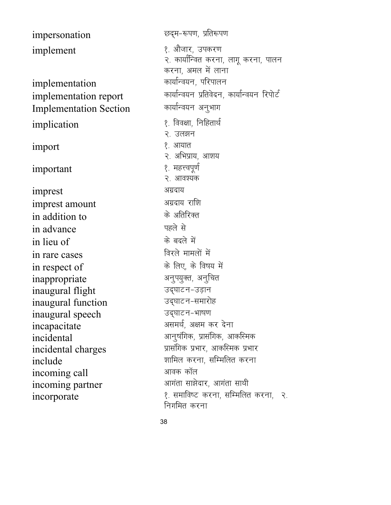| impersonation                           |
|-----------------------------------------|
| implement                               |
|                                         |
| implementation<br>implementation report |
| <b>Implementation Section</b>           |
| implication                             |
| import                                  |
| important                               |
| imprest                                 |
| imprest amount                          |
| in addition to                          |
| in advance                              |
| in lieu of                              |
| in rare cases                           |
| in respect of                           |
| inappropriate                           |
| inaugural flight                        |
| inaugural function                      |
| inaugural speech                        |
| incapacitate                            |
| incidental                              |
| incidental charges                      |
| include                                 |
| incoming call                           |
| incoming partner                        |
| incorporate                             |

छद्म-रूपण, प्रतिरूपण १. औजार, उपकरण २. कार्यान्वित करना, लागू करना, पालन करना, अमल में लाना कार्यान्वयन, परिपालन कार्यान्वयन प्रतिवेदन, कार्यान्वयन रिपोर्ट कार्यान्वयन अनुभाग १. विवक्षा, निहितार्थ २. उलझन १. आयात २. अभिप्राय, आशय १. महत्त्वपूर्ण २. आवश्यक अग्रदाय अग्रदाय राशि के अतिरिक्त पहले से के बदले में विरले मामलों में के लिए, के विषय में अनुपयुक्त, अनुचित उद्घाटन-उड़ान उद्घाटन-समारोह उद्घाटन-भाषण असमर्थ, अक्षम कर देना आनुषंगिक, प्रासंगिक, आकस्मिक प्रासंगिक प्रभार, आकस्मिक प्रभार शामिल करना, सम्मिलित करना आवक कॉल आगंता साझेदार, आगंता साथी १. समाविष्ट करना, सम्मिलित करना, २. निगमित करना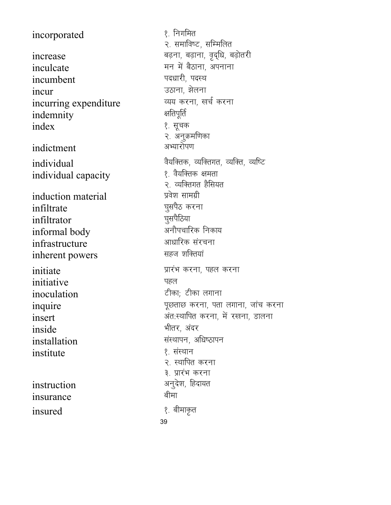incorporated increase inculcate incumbent incur incurring expenditure indemnity index indictment individual individual capacity induction material infiltrate infiltrator informal body infrastructure inherent powers initiate initiative inoculation inquire insert inside installation institute instruction insurance

insured

१. निगमित २. समाविष्ट, सम्मिलित बढ़ना, बढ़ाना, वृद्धि, बढ़ोतरी मन में बैठाना, अपनाना पदधारी, पदस्थ उठाना, झेलना व्यय करना, खर्च करना क्षतिपूर्ति १. सूचक २. अनुक्रमणिका अभ्यारोपण वैयक्तिक, व्यक्तिगत, व्यक्ति, व्यष्टि १. वैयक्तिक क्षमता २. व्यक्तिगत हैसियत प्रवेश सामग्री घूसपैठ करना घुसपैठिया अनौपचारिक निकाय आधारिक संरचना सहज शक्तियां प्रारंभ करना, पहल करना पहल टीका; टीका लगाना पूछताछ करना, पता लगाना, जांच करना अंत:स्थापित करना, में रखना, डालना भीतर, अंदर संस्थापन, अधिष्ठापन १. संस्थान २. स्थापित करना ३. प्रारंभ करना अनुदेश, हिदायत बीमा १. बीमाकृत 39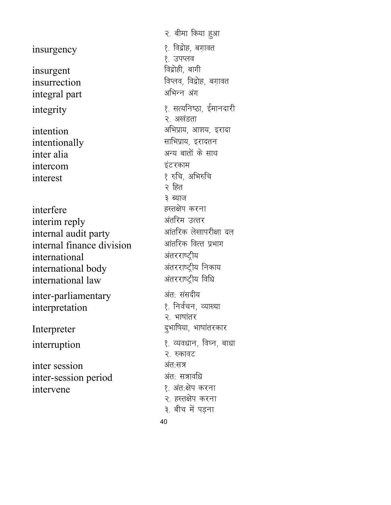insurgency and the set of the set of the set of the set of the set of the set of the set of the set of the set insurgent insurrection for factors (विष्तव, विद्रोह, बग़ावत<br>integral part affirm अभिन्न अंग integral part intentionally inter alia view of the set of the set of the set of the set of the set of the set of the set of the set of the intercom इंटरकाम interest हैं। अभिरुचि interfere ब्रिटिश करना internal audit party vkarfjd ys[kkijh{kk ny internal finance division international varjjk"Vªh; international body varjjk"Vªh; fudk; international law interpretation

inter session अंत:सत्र inter-session period अंत: सत्रावधि intervene 1- 2001 - 10 अंत:क्षेप करना

२. बीमा किया हुआ १. उपप्लव<br>विद्रोही, बागी integrity 1- lR;fu"Bk] bZekunkjh २. अखंडता intention vfHkizk;] vk'k;] bjknk २ हित ३ ब्याज interim reply varfje mRrj inter-parliamentary अंतः संसदीय<br>interpretation (१) निर्वचन, व्याख्या २. भाषांतर Interpreter बुभाषिया, भाषांतरकार interruption (१) व्यवधान, विघ्न, बाधा २. रुकावट २. हस्तक्षेप करना ३. बीच में पड़ना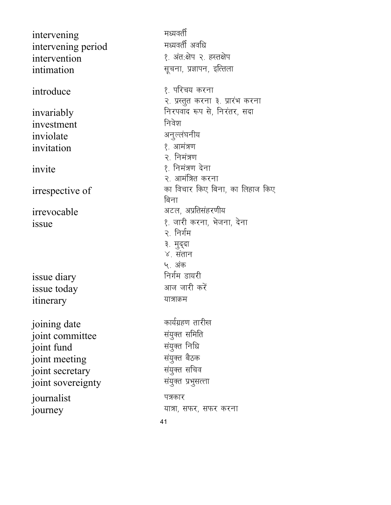intervening eè;orhZ intervening period intervention । अब्दैश्य २. हस्तक्षेप intimation **intimation** सूचना, प्रज्ञापन, इत्तिला  $introduce$   $\langle$  17 introduce invariably **invariably** frequence in the set of the set of the set of the set of the set of the set of the set o investment हिंदी करने का निवेश inviolate अनुल्लंघनीय  $invitation$   $\qquad \qquad \{.\}$  आमंत्रण  $\frac{1}{3}$ invite 1-  $\frac{1}{3}$  $\frac{1}{2}$  irrespective of  $\frac{1}{2}$  and  $\frac{1}{2}$  denotes four factor for  $\frac{1}{2}$ irrevocable values and visit of the visit of the visit of the visit of the visit of the visit of the visit of t issue 1- tkjh djuk] Hkstuk] nsuk issue diary issue today values and what issue today itinerary unangelearning the set of the set of the set of the set of the set of the set of the set of the set o joining date<br>
ioint committee<br>
ioint committee<br>
decryption joint committee la;qDr lfefr joint fund la;qDr fufèk joint meeting la;qDr cSBd joint secretary joint sovereignty and the strategies of the system journalist पत्रकार journey in the settlem and the settlem and the settlem and the settlem and the settlem and the settlem and the

२. प्रस्तुत करना ३. प्रारंभ करना २. निमंत्रण २. आमंत्रित करना बिना २. निर्गम ३. मुद्दा ४. संतान ५. अंक<br>निर्गम डायरी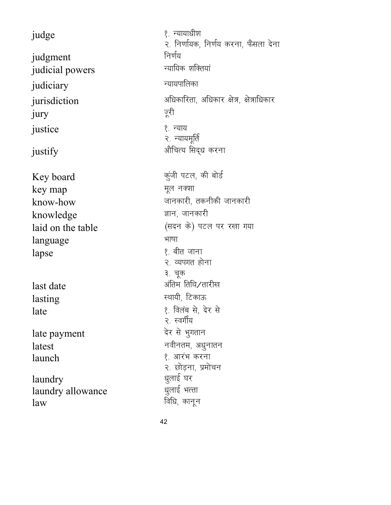judge 1- U;k;kèkh'k judgment निर्णय judicial powers Turking of Turking and Turking in the set of the set of the set of the set of the set of the s judiciary with the settlement of the settlement of the settlement of the settlement of the settlement of the s jurisdiction vector of the sum of the set of the set of the set of the set of the set of the set of  $\overline{\mathbf{x}}$ jury justice । अन्याय १. न्याय  $justify$  and  $\frac{1}{2}$  and  $\frac{1}{2}$  and  $\frac{1}{2}$  and  $\frac{1}{2}$  and  $\frac{1}{2}$  and  $\frac{1}{2}$  are  $\frac{1}{2}$  and  $\frac{1}{2}$  are  $\frac{1}{2}$  and  $\frac{1}{2}$  are  $\frac{1}{2}$  and  $\frac{1}{2}$  are  $\frac{1}{2}$  and  $\frac{1}{2}$  are  $\frac{1}{2}$  and Key board degree to the set of the set of the Key board key map was the set of the set of the set of the set of the set of the set of the set of the set of the set of the set of the set of the set of the set of the set of the set of the set of the set of the set of the set of know-how who we will be the set of the set of the set of the set of the set of the set of the set of the set o knowledge which we knowledge laid on the table (सदन के) पटल पर रखा गया language भाषा lapse  $\ell$  and  $\ell$  and  $\ell$  and  $\ell$  and  $\ell$  and  $\ell$  and  $\ell$  and  $\ell$  and  $\ell$  and  $\ell$  and  $\ell$  and  $\ell$  and  $\ell$  and  $\ell$  and  $\ell$  and  $\ell$  and  $\ell$  and  $\ell$  and  $\ell$  and  $\ell$  and  $\ell$  and  $\ell$  and  $\ell$  and  $\ell$  and ३. चूक last date variable water water when the state of the state of the state of the state of the state of the state lasting **Lasting Research Accord** Research **Research**  $\epsilon$ थायी, टिकाऊ late 1- foyac ls] nsj ls २. स्वर्गीय late payment and the payment  $\lvert \text{atest} \rvert$ launch and the settlement of the settlement of the settlement of the settlement of the settlement of the settl laundry laundry allowance èkqykbZ HkRrk  $\lim_{x \to \infty}$  विधि, कानून

२. निर्णायक, निर्णय करना, फैसला देना २. न्यायमूर्ति २. व्यपगत होना २. छोड़ना, प्रमोचन<br>धूलाई घर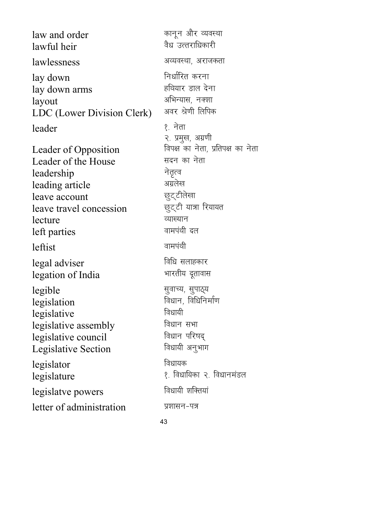law and order dkuwu vkSj O;oLFkk lawful heir lawlessness vor and the state of the state of the state and the state of the state of the state of the state o lay down Fuel Communication and the function of the function of  $\mathbb{R}^n$ lay down arms which we are the starting and the starting of  $\frac{1}{k}$ layout 31 अभिन्यास, नक्शा<br>I DC (Lower Division Clerk) अवर श्रेणी लिपिक LDC (Lower Division Clerk) leader हैं: इस प्रशासन कर पर प्रशासन कर रहे हैं। इस प्रशासन कर पर प्रशासन कर पर प्रशासन कर रहे हैं। अब प्रशासन २. प्रमुख, अग्रणी<br>विपक्ष का नेता, प्रतिपक्ष का नेता Leader of Opposition <sup>विपक्ष</sup> का नेता<br>Leader of the House सदन का नेता Leader of the House leadership नेतृत्व leading article <sup>आग्रलेख</sup><br>leave account <del>प्रा</del>ट्टीलेखा leave account leave travel concession is said that Rules lecture <sup>and a</sup> ज्याख्यान left parties and the state of the state of the state of the state of the state of the state of the state of the leftist okeiaFkh legal adviser<br>
legation of India<br>
legation of India legation of India legible सुवाच्य, सुपाठ्य legislation बिधान, विधिनिर्माण legislative बिधायी legislative assembly<br>
legislative council and a fear after legislative council Legislative Section विधायी अनुभाग legislator विधायक legislature 1- 1- 100 million 2008 (Regislature 1- 100 million 2008) 2014 (Regislature 1- 100 million 2008) 20 legislatve powers Found क्षिप्तयां  $letter of administration$   $x$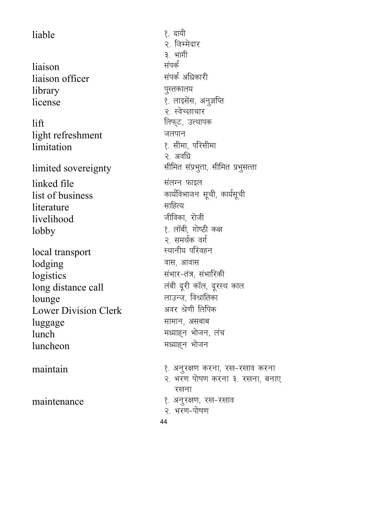liable 1- nk;h liaison<br>liaison officer संपर्क अधिकारी liaison officer library बुस्तकालय  $license$   $\ell$  and  $\ell$  and  $\ell$  and  $\ell$  and  $\ell$  and  $\ell$  and  $\ell$  and  $\ell$  and  $\ell$  and  $\ell$  and  $\ell$  and  $\ell$  and  $\ell$  and  $\ell$  and  $\ell$  and  $\ell$  and  $\ell$  and  $\ell$  and  $\ell$  and  $\ell$  and  $\ell$  and  $\ell$  and  $\ell$  and  $\ell$  an lift fyQ~V] mRFkkid light refreshment जलपान limitation and the set of the set of the set of the limitation linked file and the law and the law and the law and the law and the law and the law and the law and the law an list of business **dependent of the set of business** and a matrice mode of  $\frac{1}{2}$ literature साहित्य livelihood जीविका, रोजी lobby expansion of the set of the set of the set of the set of the set of the set of the set of the set of the local transport lodging बास, आवास logistics संभार-तंत्र, संभारिकी long distance call values of the rest of the set of the long distance call lounge and the money of the set of the set of the set of the set of the United States of the States of the States of the States of the States of the States of the States of the States of the States of the States of the St Lower Division Clerk luggage **luggage** सामान, असबाब  $lunch$   $H\omega$   $H\omega$   $H\omega$   $H\omega$   $H\omega$   $\eta$   $\eta$   $\eta$ luncheon ब्राह्म सध्याहन भोजन

२. जिम्मेदार ३. भागी २. स्वेच्छाचार २. अवधि limited sovereignty and the settler in the limited sovereignty २. समर्थक वर्ग<br>स्थानीय परिवहन maintain 1- 2012 Milkon dina terminang kalikutan di kampain dina manangkat dina terminang kalikutan di kalenda

- २. भरण पोषण करना ३. रखना, बनाए रखना
- maintenance 1- 2012 12: अनुरक्षण, रख-रखाव
	- २. भरण-पोषण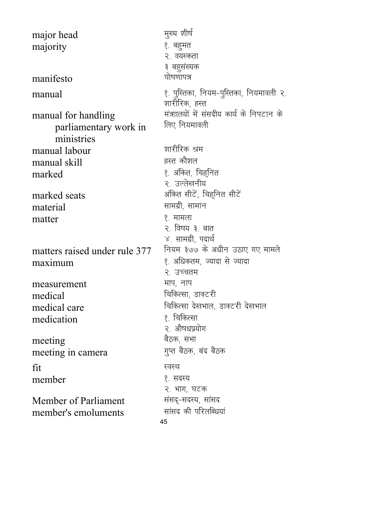45 major head सुख्य शीर्ष majority । अन्न के बहुमत २. वयस्कता ३ बहुसंख्यक  $\mathbf{m}$ anifesto  $\mathbf{m}$ manual 1- iqtimal fusion of the set of the set of the set of the set of the set of the set of the set of the s शारीरिक. हस्त manual for handling parliamentary work in ministries मंत्राालयों में संसदीय कार्य के निपटान के लिए नियमावली manual labour 'kkjhfjd Je manual skill marked 1- vafdr] fpg~fur २. उल्लेखनीय marked seats variable water water with the state of the state of the state of the state of the state of the sta material later and the set of the set of the set of the set of the set of the set of the set of the set of the  $\mathbf{matter}$  । The set of  $\mathbf{R}$  ,  $\mathbf{H}$  ,  $\mathbf{H}$  ,  $\mathbf{H}$  ,  $\mathbf{H}$  ,  $\mathbf{H}$ २. विषय ३. बात ४. सामग्री, पदार्थ<br>नियम ३७७ के अधीन उठाए गए मामले matters raised under rule 377 maximum 1- view of the settle of the settle and the settle that the settle the settle and the settle २. उच्चतम measurement and  $\overline{H}$  and  $\overline{H}$ medical factor and the medical factor of  $\mathbb{R}$  and  $\mathbb{R}$  and  $\mathbb{R}$  are  $\mathbb{R}$  for  $\mathbb{R}$  and  $\mathbb{R}$  are  $\mathbb{R}$  for  $\mathbb{R}$  and  $\mathbb{R}$  are  $\mathbb{R}$  for  $\mathbb{R}$  and  $\mathbb{R}$  are  $\mathbb{R}$  for  $\mathbb{R}$  an medical care fatal new fatal distribution and fatal new fatal fraction and the set of  $\ell$  and  $\ell$  fatal fraction and  $\ell$  fatal fraction and  $\ell$  fatal fraction and  $\ell$  fatal fraction and  $\ell$  fatal fraction and  $\ell$  f medication २. औषधप्रयोग meeting<br>meeting in camera when we did a star बैठक, बंद बैठक meeting in camera  $fit$ कर स्वस्थ member । अन्य प्रशासक अस्ति । अन्य प्रशासक अस्ति । अन्य प्रशासक अस्ति । अन्य प्रशासक अस्ति । अन्य प्रशासक अस्त २. भाग, घटक Member of Parliament<br>member's emoluments and strate की परिलब्धियां member's emoluments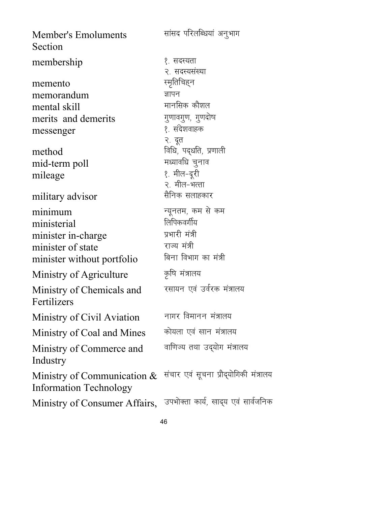सांसद परिलब्धियां अनुभाग **Member's Emoluments** Section membership १. सदस्यता २. सदस्यसंख्या स्मृतिचिह्न memento ज्ञापन memorandum मानसिक कौशल mental skill गुणावगुण, गुणदोष merits and demerits १. संदेशवाहक messenger २. दूत विधि, पद्धति, प्रणाली method मध्यावधि चूनाव mid-term poll १. मील-दूरी mileage २. मील-भत्ता सैनिक सलाहकार military advisor न्यूनतम, कम से कम minimum लिपिकवर्गीय ministerial प्रभारी मंत्री minister in-charge राज्य मंत्री minister of state बिना विभाग का मंत्री minister without portfolio कृषि मंत्रालय Ministry of Agriculture रसायन एवं उर्वरक मंत्रालय Ministry of Chemicals and Fertilizers नागर विमानन मंत्रालय Ministry of Civil Aviation कोयला एवं खान मंत्रालय Ministry of Coal and Mines वाणिज्य तथा उद्योग मंत्रालय Ministry of Commerce and Industry संचार एवं सूचना प्रौद्योगिकी मंत्रालय Ministry of Communication  $\&$ **Information Technology** Ministry of Consumer Affairs, उपभोक्ता कार्य, खाद्य एवं सार्वजनिक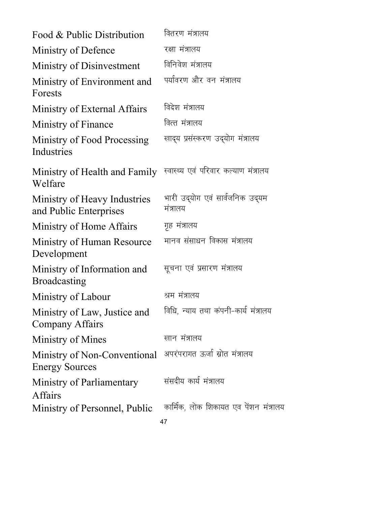| Food & Public Distribution                             | वितरण मंत्रालय                              |
|--------------------------------------------------------|---------------------------------------------|
| Ministry of Defence                                    | रक्षा मंत्रालय                              |
| Ministry of Disinvestment                              | विनिवेश मंत्रालय                            |
| Ministry of Environment and<br>Forests                 | पर्यावरण और वन मंत्रालय                     |
| Ministry of External Affairs                           | विदेश मंत्रालय                              |
| Ministry of Finance                                    | वित्त मंत्रालय                              |
| Ministry of Food Processing<br>Industries              | खाद्य प्रसंस्करण उद्योग मंत्रालय            |
| Ministry of Health and Family<br>Welfare               | स्वास्थ्य एवं परिवार कल्याण मंत्रालय        |
| Ministry of Heavy Industries<br>and Public Enterprises | भारी उद्योग एवं सार्वजनिक उद्यम<br>मंत्रालय |
| Ministry of Home Affairs                               | गृह मंत्रालय                                |
| Ministry of Human Resource<br>Development              | मानव संसाधन विकास मंत्रालय                  |
| Ministry of Information and<br><b>Broadcasting</b>     | सूचना एवं प्रसारण मंत्रालय                  |
| Ministry of Labour                                     | श्रम मंत्रालय                               |
| Ministry of Law, Justice and<br>Company Affairs        | विधि, न्याय तथा कंपनी-कार्य मंत्रालय        |
| Ministry of Mines                                      | खान मंत्रालय                                |
| Ministry of Non-Conventional<br><b>Energy Sources</b>  | अपरंपरागत ऊर्जा स्रोत मंत्रालय              |
| Ministry of Parliamentary<br><b>Affairs</b>            | संसदीय कार्य मंत्रालय                       |
| Ministry of Personnel, Public                          | कार्मिक, लोक शिकायत एव पेंशन मंत्रालय<br>47 |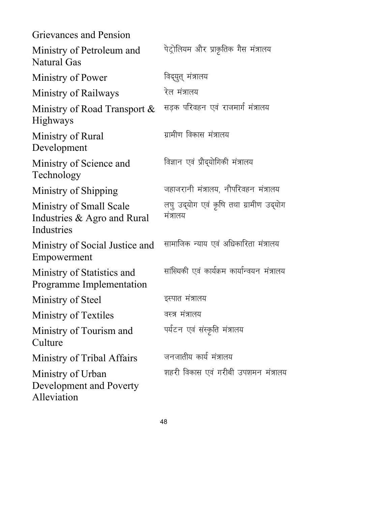| Grievances and Pension                                               |                                                    |
|----------------------------------------------------------------------|----------------------------------------------------|
| Ministry of Petroleum and<br>Natural Gas                             | पेट्रोलियम और प्राकृतिक गैस मंत्रालय               |
| Ministry of Power                                                    | विद्युत् मंत्रालय                                  |
| Ministry of Railways                                                 | रेल मंत्रालय                                       |
| Ministry of Road Transport &<br><b>Highways</b>                      | सड़क परिवहन एवं राजमार्ग मंत्रालय                  |
| Ministry of Rural<br>Development                                     | ग्रामीण विकास मंत्रालय                             |
| Ministry of Science and<br>Technology                                | विज्ञान एवं प्रौद्योगिकी मंत्रालय                  |
| Ministry of Shipping                                                 | जहाजरानी मंत्रालय, नौपरिवहन मंत्रालय               |
| Ministry of Small Scale<br>Industries & Agro and Rural<br>Industries | लघु उद्योग एवं कृषि तथा ग्रामीण उद्योग<br>मंत्रालय |
| Ministry of Social Justice and<br>Empowerment                        | सामाजिक न्याय एवं अधिकारिता मंत्रालय               |
| Ministry of Statistics and<br>Programme Implementation               | सांख्यिकी एवं कार्यक्रम कार्यान्वयन मंत्रालय       |
| Ministry of Steel                                                    | इस्पात मंत्रालय                                    |
| <b>Ministry of Textiles</b>                                          | वस्त्र मंत्रालय                                    |
| Ministry of Tourism and<br>Culture                                   | पर्यटन एवं संस्कृति मंत्रालय                       |
| Ministry of Tribal Affairs                                           | जनजातीय कार्य मंत्रालय                             |
| Ministry of Urban<br>Development and Poverty<br>Alleviation          | शहरी विकास एवं गरीबी उपशमन मंत्रालय                |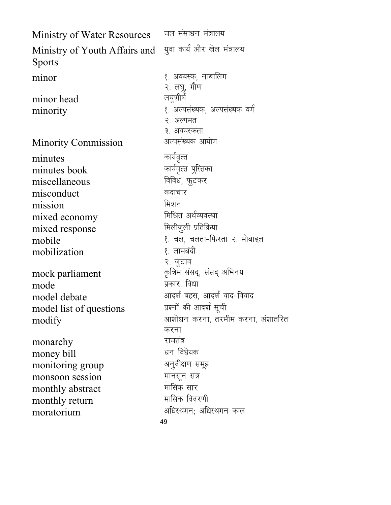| Ministry of Water Resources                    | जल संसाधन मंत्रालय                                         |
|------------------------------------------------|------------------------------------------------------------|
| Ministry of Youth Affairs and<br><b>Sports</b> | युवा कार्य और खेल मंत्रालय                                 |
| minor                                          | १. अवयस्क, नाबालिग<br>२. लघु, गौण                          |
| minor head                                     | लघूशीर्ष                                                   |
| minority                                       | १. अल्पसंख्यक, अल्पसंख्यक वर्ग<br>२. अल्पमत<br>३. अवयस्कता |
| <b>Minority Commission</b>                     | अल्पसंख्यक आयोग                                            |
| minutes                                        | कार्यवृत्त                                                 |
| minutes book                                   | कार्यवृत्त पुस्तिका                                        |
| miscellaneous                                  | विविध, फुटकर                                               |
| misconduct                                     | कदाचार                                                     |
| mission                                        | मिशन                                                       |
| mixed economy                                  | मिश्रित अर्थव्यवस्था                                       |
| mixed response                                 | मिलीजुली प्रतिक्रिया                                       |
| mobile                                         | १. चल, चलता-फिरता २. मोबाइल                                |
| mobilization                                   | १. लामबंदी                                                 |
|                                                | २. जुटाव                                                   |
| mock parliament                                | कृत्रिम संसद्, संसद् अभिनय                                 |
| mode                                           | प्रकार, विधा                                               |
| model debate                                   | आदर्श बहस, आदर्श वाद-विवाद                                 |
| model list of questions                        | प्रश्नों की आदर्श सूची                                     |
| modify                                         | आशोधन करना, तरमीम करना, अंशातरित<br>करना                   |
|                                                | राजतंत्र                                                   |
| monarchy                                       | धन विधेयक                                                  |
| money bill                                     | अनुवीक्षण समूह                                             |
| monitoring group<br>monsoon session            | मानसून सत्र                                                |
|                                                | मासिक सार                                                  |
| monthly abstract<br>monthly return             | मासिक विवरणी                                               |
| moratorium                                     | अधिस्थगन; अधिस्थगन काल                                     |
|                                                | 49                                                         |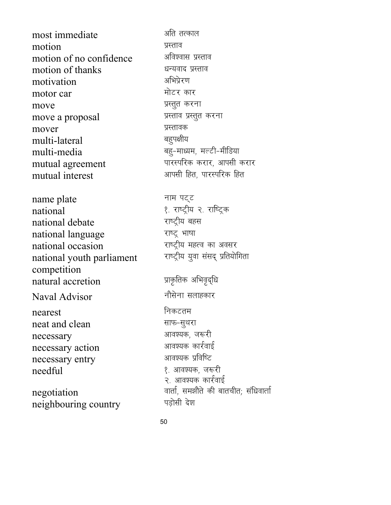most immediate <sup>अति</sup> तत्काल motion प्रस्ताव motion of no confidence <sup>अविश्वास</sup> प्रस्ताव motion of thanks <sup>धन्यवाद</sup> प्रस्ताव motivation अभिप्रेरण<br>motor.car motor car move प्रस्तुत करना move a proposal with the setting and the setting of the setting of the setting of the setting of the setting o mover izLrkod multi-lateral multi-media care capacity of the capacity of the multi-media mutual agreement ikke was matted and the set of the mutual agreement mutual interest values and the set of the set of the mutual interest

name plate THE जाना पट्ट national<br>
national debate<br>
national debate<br>  $\frac{1}{2}$  and  $\frac{1}{2}$  are  $\frac{1}{2}$  and  $\frac{1}{2}$  are  $\frac{1}{2}$  and  $\frac{1}{2}$  are  $\frac{1}{2}$  and  $\frac{1}{2}$  are  $\frac{1}{2}$  and  $\frac{1}{2}$  are  $\frac{1}{2}$  are  $\frac{1}{2}$  and  $\frac{1}{2}$ national debate national language राष्ट्र भाषा national occasion vertex राष्ट्रीय महत्व का अवसर national youth parliament competition natural accretion izkhird vight and vight and the settlement of the settlement of the vight view of the vight o Naval Advisor बारी को बोसेना सलाहकार nearest Fund Control of Tensor neat and clean <del>and all and the state of the state of</del>  $\overline{R}$ necessary vko';d] t:jh necessary action vko';d dkjZokbZ necessary entry needful 1- vko';d] t:jh

neighbouring country

राष्ट्रीय युवा संसद् प्रतियोगिता

२. आवश्यक कार्रवाई negotiation and anal, समझौते की बातचीत; संधिवार्ता<br>neighbouring country wहोसी देश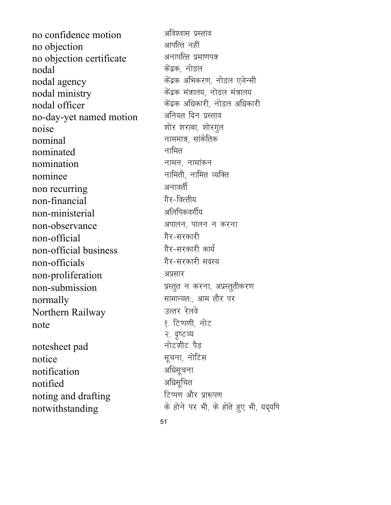no confidence motion <sup>अविश्वास प्रस्ताव</sup> no objection values and the set of the set of the set of the set of the set of the set of the set of the set o no objection certificate अनापत्ति प्रमाणपत्र  $\overline{\text{nodal}}$   $\overline{\text{rad}}$  ,  $\overline{\text{rad}}$ nodal agency disanzo dal agency disanza view when we have the value of the model of the model and a nodal ministry and the set of the state of the state and the state and the state and the state and the state o nodal officer and interest in the same of the same of the sandal officer in the sanction of the sandal model in the sanction of the sandal model in the sanction of the sanction of the sanction of the sanction of the sanct no-day-yet named motion  $noise$  'kks, and the set of the set of the set of the set of the set of the set of the set of the set of the set of the set of the set of the set of the set of the set of the set of the set of the set of the set of the set nominal ukeek=] lkadsfrd  $n$ ominated चामित nomination and the state of the state of the state of the state of the state of the state of the state of the s nominee ukferh] ukfer O;fDr non recurring vultar and strategy and the strategy of the strategy of the strategy of the strategy of the strategy of the strategy of the strategy of the strategy of the strategy of the strategy of the strategy of the str non-financial *गैर-वित्तीय* non-ministerial अलिपिकवर्गीय non-observance 3यालन, पालन न करना non-official *गैर-सरकारी* non-official business गैर-सरकारी कार्य<br>non-officials गैर-सरकारी सदस्य non-officials non-proliferation अप्रसार non-submission izlama vizing the setter when the submission  $normally$   $HHT=2d$ ; आम तौर पर Northern Railway जिलार रेलवे note and the set of the set of the set of the set of the set of the set of the set of the set of the set of th notesheet pad Fitch and notice **later in the set of the set of the set of the set of the set of the set of the set of the set of the s** notification अधिसूचना

noting and drafting

२. दृष्टव्य notified vfèklwfpr notwithstanding and the state of gradient with the state in the gas and the gas gradient motion in the gas gra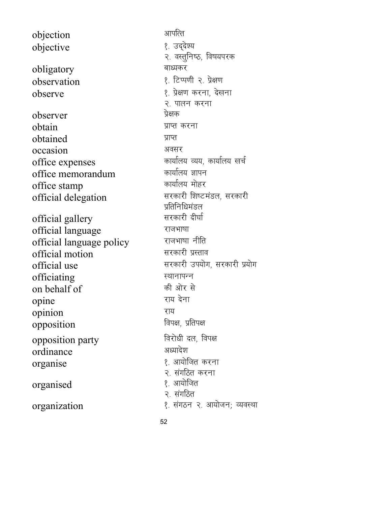objection अपनि objective १. उद्देश्य obligatory बाध्यकर observation 2- 12 with 2- अक्षण कर के अधिक 2- अक्षण observe 1- 1- 12 observe 1- 12 observe 1- 12 observe 1- 12 observe 1- 12 observe observer ज्ञे असक obtain izkuntzailea arraztea zuten zuten zuten zuten zuten zuten zuten zuten zuten zuten zuten zuten zuten zut obtained प्राप्त occasion अवसर office expenses and the matrice expenses and the matrice expenses office memorandum dk;kZy; Kkiu office stamp<br>official delegation सरकारी शिष्टमंडल, सरकारी official delegation official gallery official language jktHkk"kk official language policy  $\delta$ official motion little in the set of  $\delta$  and  $\delta$ official use lide and the settlement of the state of the state of the state of the state of the state of the s officiating स्थानाफ्न<br>
on behalf of की ओर से on behalf of opine van die verstelling van die verschieden van die verschieden van die van die verschieden van die verschied<br>Geboortes opinion राय opposition faust and faust specific to the set of the form of the set of the following  $\mathbb{R}$ opposition party farial fact and set opposition ordinance अध्यादेश organise 1- vk;ksftr djuk organised । अन्यानिक १. आयोजित organization 2. संगठन २. आयोजन; व्यवस्था

२. वस्तूनिष्ठ, विषयपरक २. पालन करना प्रतिनिधिमंडल<br>सरकारी दीर्घा २. संगठित करना २. संगठित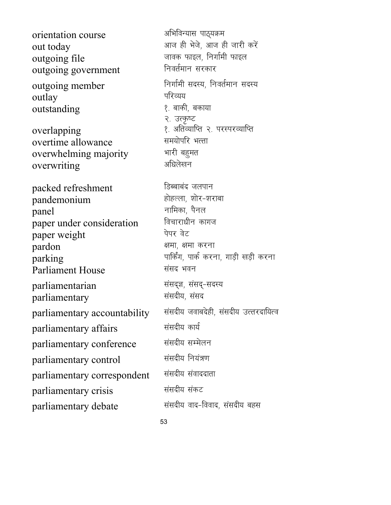orientation course values अभिविन्यास पाठ्यक्रम out today values and the same state in the same state in the set of the state of the state of the state of the outgoing file<br>  $\frac{1}{\sqrt{2\pi}}$  outgoing government<br>  $\frac{1}{\sqrt{2\pi}}$  and  $\frac{1}{\sqrt{2\pi}}$  fusive functions and  $\frac{1}{\sqrt{2\pi}}$  functions are functions of the property of the property of the property of the property of the prop outgoing government outgoing member fanfift सदस्य, निवर्तमान सदस्य  $\overline{\text{outlay}}$   $\overline{\text{q}}$ रिव्यय outstanding states and the set of the set of the set of the set of the set of the set of the set of the set of २. उत्कृष्ट overlapping extending the set of the set overlapping allowance when the set of the set of the set of the set o<br>The set of the set of the set of the set of the set of the set of the set of the set of the set of the set of overtime allowance overwhelming majority भारी बहुमत overwriting अधिलेखन packed refreshment हिब्बाबंद जलपान pandemonium gksgYyk] 'kksj&'kjkck panel ukfedk] iSuy paper under consideration paper weight is the world with the paper weight pardon {kek] {kek djuk  $\mathbf{\hat{p}}$ arking ika axis ika dikebutan kemati yang mengantakan parking  $\mathbf{\hat{p}}$ Parliament House संसद भवन parliamentarian संसद्ज्ञ, संसद्-सदस्य<br>narliamentary संसदीय, संसद parliamentary parliamentary accountability संसदीय जवाबदेही, संसदीय उत्तरदायित्व parliamentary affairs संसदीय कार्य parliamentary conference संसदीय सम्मेलन parliamentary control संसदीय नियंत्रण parliamentary correspondent संसदीय संवाददाता parliamentary crisis संसदीय संकट parliamentary debate | संसदीय वाद-विवाद, संसदीय बहस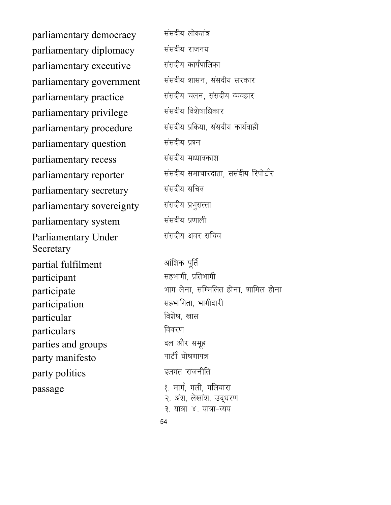parliamentary democracy संसदीय लोकतंत्र parliamentary diplomacy संसदीय राजनय parliamentary executive संसदीय कार्यपालिका parliamentary government संसदीय शासन, संसदीय सरकार parliamentary practice संसदीय चलन, संसदीय व्यवहार parliamentary privilege संसदीय विशेषाधिकार parliamentary procedure संसदीय प्रक्रिया, संसदीय कार्यवाही parliamentary question संसदीय प्रश्न parliamentary recess संसदीय मध्यावकाश parliamentary secretary संसदीय सचिव parliamentary sovereignty संसदीय प्रभुसत्ता parliamentary system संसदीय प्रणाली Parliamentary Under **Secretary** partial fulfilment variety with a strike partial participant like the settlement of the settlement of the settlement of the settlement of the settlement of the participation and the settlement of the settlement of the settlement of the settlement of the settlement of the particular for the set of  $\theta$  and  $\theta$  and  $\theta$ particulars **foundary foundary** parties and groups ब्ल और समूह party manifesto which will have the party manifesto party politics **and a strategies** and a strategies of the strategies of  $\mathbb{R}$  $passage$   $\ell$ , मार्ग, गली, गलियारा

54 parliamentary reporter संसदीय समाचारदाता, ससंदीय रिपोर्टर संसदीय अवर सचिव participate **Helion Elisabeth Startegier (Elisabeth** भाग लेना, सम्मिलित होना, शामिल होना २. अंश, लेखांश, उद्धरण ३ यात्रा ४ यात्रा-व्यय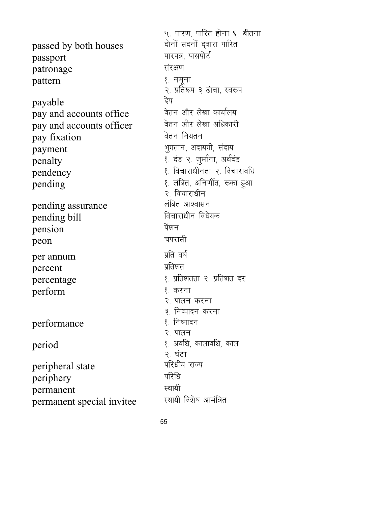passed by both houses passport ikke and the set of the set of the set of the set of the set of the set of the set of the set of the s patronage संरक्षण pattern १. नमूना  $\frac{1}{2}$  payable<br>nav and accounts office  $\frac{1}{2}$  वेतन और लेखा कार्यालय  $\frac{1}{2}$  pay and accounts office  $\frac{1}{2}$  and accounts officer and accounts officer pay and accounts officer pay fixation and a basic function payment and the system of the setter and the setter and the system of the setter and the setter and  $\mathbf{q}$ penalty 1- naM 2- tqekZuk] vFkZnaM pendency 1- fopkjkèkhurk 2- fopkjkofèk  $\mathop{\mathrm{pending}}$  and  $\mathop{\mathrm{pending}}$  :  $\mathop{\mathrm{qgraph}}$  :  $\mathop{\mathrm{qgraph}}$  :  $\mathop{\mathrm{qgraph}}$  : pending assurance yafcr vk'oklu pending bill pension पेंशन peon चपरासी per annum izfr o which will be a state of the state of  $\lambda$ percent प्रतिशत percentage 1- 12 in the set of the set of the percentage 1- in the set of the set of the set of the set of the perform १ करना performance । अन्यादन  $period$  and  $\ell$  are  $\ell$  and  $\ell$  are  $\ell$  and  $\ell$  are  $\ell$  and  $\ell$ peripheral state periphery परिधि permanent<br>
nermanent special invitee स्थायी विशेष आमंत्रित permanent special invitee

५. पारण, पारित होना ६. बीतना<br>दोनों सदनों द्वारा पारित २. प्रतिरूप ३ ढांचा, स्वरूप २. विचाराधीन २. पालन करना ३. निष्पादन करना २. पालन २. घंटा<br>परिधीय राज्य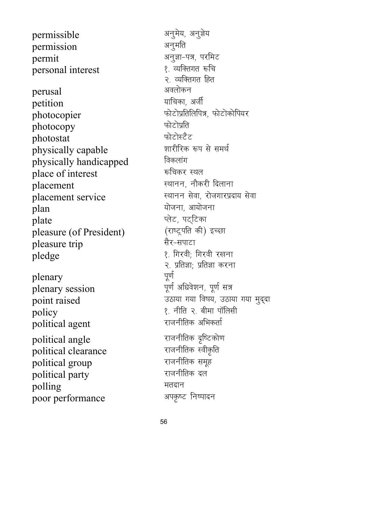permissible permission permit personal interest perusal petition photocopier photocopy photostat physically capable physically handicapped place of interest placement placement service plan plate pleasure (of President) pleasure trip pledge plenary

plenary session point raised policy political agent political angle political clearance political group political party polling poor performance

अनुमेय, अनुज्ञेय अनुमति अनुज्ञा-पत्र, परमिट १. व्यक्तिगत रूचि २. व्यक्तिगत हित अवलोकन याचिका, अर्जी फोटोप्रतिलिपित्र, फोटोकोपियर फोटोप्रति फोटोस्टैट शारीरिक रूप से समर्थ विकलांग रूचिकर स्थल स्थानन, नौकरी दिलाना स्थानन सेवा, रोजगारप्रदाय सेवा योजना, आयोजना प्लेट, पट्टिका (राष्ट्रपति की) इच्छा सैर-सपाटा १. गिरवी; गिरवी रखना २. प्रतिज्ञा; प्रतिज्ञा करना पूर्ण पूर्ण अधिवेशन, पूर्ण सत्र उठाया गया विषय, उठाया गया मुद्दा १. नीति २. बीमा पॉलिसी राजनीतिक अभिकर्ता राजनीतिक दृष्टिकोण राजनीतिक स्वीकृति राजनीतिक समूह राजनीतिक दल मतदान अपकृष्ट निष्पादन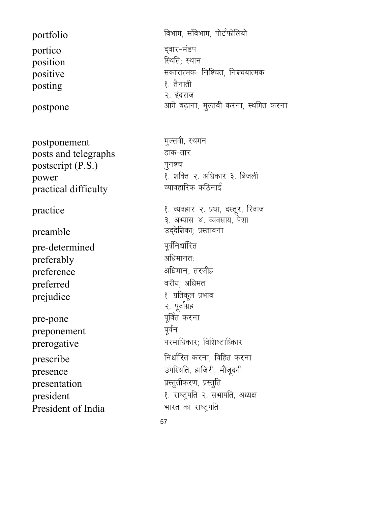portfolio portico position positive posting

postpone

postponement posts and telegraphs postscript (P.S.) power practical difficulty

## practice

preamble pre-determined preferably preference preferred prejudice

pre-pone preponement prerogative prescribe presence presentation president President of India विभाग, संविभाग, पोर्टफोलियो दुवार-मंडप स्थिति; स्थान सकारात्मक: निश्चित, निश्चयात्मक १. तैनाती २. इंदराज आगे बढ़ाना, मुल्तवी करना, स्थगित करना

मुल्तवी, स्थगन डाक-तार पुनश्च १. शक्ति २. अधिकार ३. बिजली व्यावहारिक कठिनाई १. व्यवहार २. प्रथा, दस्तूर, रिवाज ३. अभ्यास ४. व्यवसाय, पेशा उद्देशिका; प्रस्तावना पूर्वनिर्धारित अधिमानत: अधिमान, तरजीह वरीय, अधिमत १. प्रतिकूल प्रभाव २. पूर्वाग्रह पूर्वित करना पूर्वन परमाधिकार: विशिष्टाध्कार निर्धारित करना, विहित करना उपस्थिति, हाजिरी, मौजूदगी प्रस्तुतीकरण, प्रस्तुति १. राष्ट्रपति २. सभापति, अध्यक्ष भारत का राष्ट्रपति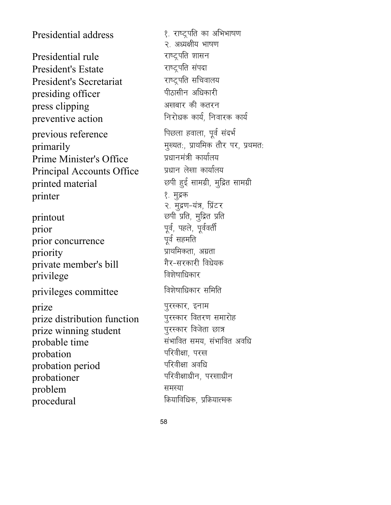Presidential address 1- 10 8. राष्ट्रपति का अभिभाषण Presidential rule which we did the Presidential rule President's Estate राष्ट्रपति संपदा President's Secretariat The स्ट्रिपति सचिवालय presiding officer <sup>पीठासीन अधिकारी</sup><br>press clinning press clipping अखबार की कतरन<br>neventive action निरोधक कार्य. निवारक कार्य preventive action previous reference Findy Research and Findy Research previous reference  $\frac{1}{2}$  primarily equational primarily in the system of the system of the value of the results of the results in the value of the value of the value of the value of the value of the value of the value of the value of t Prime Minister's Office <del>प्रधानमंत्री कार्यालय</del><br>Principal Accounts Office प्रधान लेखा कार्यालय Principal Accounts Office printed material which are with good by printed material printer १ मुद्रक printout etc. Equivalent printout and the set of the set of the set of the set of the set of the set of the se prior iwoZ] igys] iwoZorhZ prior concurrence priority izkFkfedrk] vxzrk private member's bill xSj&ljdkjh foèks;d privilege privileges committee <sup>विशेषाधिकार समिति</sup> prize<br>
prize distribution function पुरस्कार वितरण समारोह prize distribution function पुरस्कार वितरण समा<br>prize winning student पुरस्कार विजेता छात्र prize winning student probable time lahkkin di sebagai kerajaran lahkai probable time probation if the state of the state of the state of the state of the state of the state of the state of the st probation period परिवीक्षा अवधि  $\overline{\text{probability}}$  probationer if  $\overline{\text{width}}$  if  $\overline{\text{width}}$  if  $\overline{\text{width}}$ problem समस्या procedural in the model of the set of the set of the procedural in the set of the set of the set of the set of

२. अध्यक्षीय भाषण २. मुद्रण-यंत्र, प्रिंटर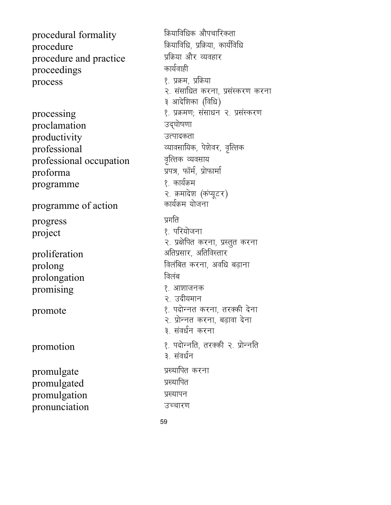procedural formality procedure procedure and practice proceedings process

processing proclamation productivity professional professional occupation proforma programme

programme of action

progress project

proliferation prolong prolongation promising

promote

promotion

promulgate promulgated promulgation pronunciation

क्रियाविधिक औपचारिकता क्रियाविधि, प्रक्रिया, कार्यविधि प्रक्रिया और व्यवहार कार्यवाही १. प्रक्रम, प्रक्रिया २. संसाधित करना, प्रसंस्करण करना ३ आदेशिका (विधि) १. प्रक्रमण; संसाधन २. प्रसंस्करण उद्घोषणा उत्पादकता व्यावसायिक, पेशेवर, वृत्तिक वृत्तिक व्यवसाय प्रपत्र, फॉर्म, प्रोफार्मा १. कार्यक्रम २. क्रमादेश (कंप्यूटर) कार्यक्रम योजना प्रगति १. परियोजना २. प्रक्षेपित करना, प्रस्तुत करना अतिप्रसार, अतिविस्तार विलंबित करना, अवधि बढ़ाना विलंब १. आशाजनक २. उदीयमान १. पदोन्नत करना, तरक्की देना २. प्रोन्नत करना, बढावा देना ३. संवर्धन करना १. पदोन्नति, तरक्की २. प्रोन्नति ३. संवर्धन प्रख्यापित करना प्रख्यापित प्रख्यापन उच्चारण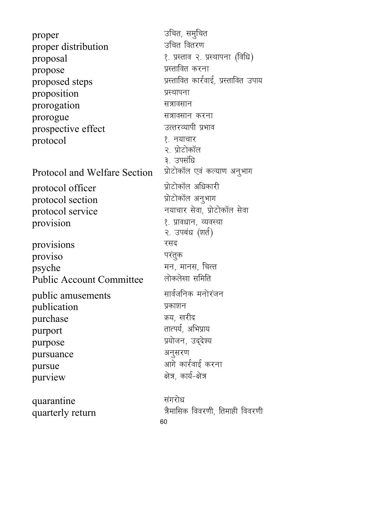60 proper mfpr] leqfpr proper distribution  $\alpha$  proposal  $\beta$ . प्रस्ताव २. प्रस्थापना (विधि) propose प्रस्तावित करना proposed steps in the settle steps in the settle step in the settle material in the settle material in the set proposition प्रस्थापना  $\mathbf{p}$  prorogation  $\mathbf{p}$ prorogue सत्रावसान करना<br>prospective effect उत्तरव्यापी प्रभाव prospective effect  $\mathsf{protocol}$   $\qquad \qquad \{.\}$  नयाचार २. प्रोटोकॉल ३. उपसंधि<br>प्रोटोकॉल एवं कल्याण अनूभाग Protocol and Welfare Section protocol officer । । । । प्रोटोकॉल अधिकारी<br>protocol section । । प्रोटोकॉल अनूभाग protocol section protocol service The state of the state in the state of the state of the state of the state of the state of the provision १. प्रावधान, व्यवस्था २. उपबंध (शर्त) provisions रसद  $proviso$  परंतुक psyche eu] ekul] fpRr Public Account Committee public amusements सार्वजनिक मनोरंजन publication प्रकाशन<br>nurchase क्य. खरीद purchase  $\overline{\text{p} \text{urport}}$   $\overline{\text{r} \text{tr}}$   $\overline{\text{r} \text{tr}}$   $\overline{\text{r} \text{tr}}$   $\overline{\text{r} \text{tr}}$   $\overline{\text{r} \text{tr}}$   $\overline{\text{r} \text{tr}}$   $\overline{\text{tr}}$   $\overline{\text{tr}}$   $\overline{\text{tr}}$   $\overline{\text{tr}}$   $\overline{\text{tr}}$   $\overline{\text{tr}}$   $\overline{\text{tr}}$   $\overline{\text{tr}}$   $\overline{\text{tr}}$   $\overline{\text{tr$ purpose प्रयोजन, उद्देश्य pursuance अनुसरण pursue vkxs dkjZokbZ djuk  $\overline{\text{p}}$ urview  $\overline{\text{p}}$  and  $\overline{\text{p}}$ quarantine संगरोध quarterly return =Sekfld fooj.kh] frekgh fooj.kh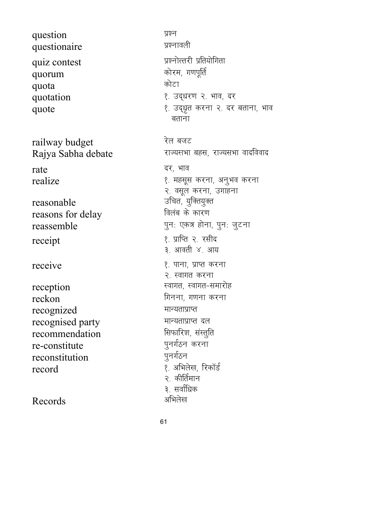question प्रश्न questionaire प्रश्नावली quiz contest izonalistic intervention when the state of the state of the state of the state of the state of the quorum कोरम, गणपूर्ति quota <del>de la contrata de la contrata de la con</del>trata de la contrata de la contrata de la contrata de la contrata quotation 1- mn~èkj.k 2- Hkko] nj railway budget रेल बजट  $rate$  ,  $\vec{q}$  ( $\vec{q}$ )  $\vec{q}$ reasonable उचित, युक्तियुक्त<br>reasons for delay विलंब के कारण reasons for delay  $\begin{array}{ccc} \text{recept} & & \text{if} & \{1,2\} \end{array}$ receive 1- 100 mm of the set of the set of the set of the set of the set of the set of the set of the set of t reception **Locking Contracts** Research Research Research Research Research Research Research Research Research reckon fxuuk] x.kuk djuk recognized सान्यताप्राप्त recognised party ekU;rkizkIr ny recommendation । सिर्फारेश, संस्तु<br>re-constitute पूनर्गठन करना re-constitute पुनर्गठन<br>reconstitution पुनर्गठन reconstitution record 1- vfHkys[k] fjdkWMZ

Records अभिलेख

quote 1- mn~èk`r djuk 2- nj crkuk] Hkko बताना Rajya Sabha debate value di Turuk and are are are and an algebra controller and a  $realize$   $\langle$  . Hether dividends the  $\langle$  equation dividends  $\langle$  equation dividends  $\langle$  equation dividends  $\langle$  equation dividends  $\langle$  equation dividends  $\langle$  equation dividends  $\langle$  equation dividends  $\langle$  equation divid २. वसूल करना, उगाहना reassemble in the gradient way to the gradient property in the gradient value of  $q\pi$ : जुटना ३. आवती ४. आय २. स्वागत करना २. कीर्तिमान ३. सर्वाधिक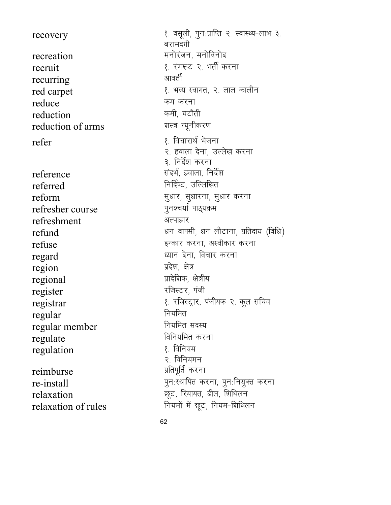recovery recreation recruit recurring red carpet reduce reduction reduction of arms refer reference referred reform refresher course refreshment refund refuse regard region regional register registrar regular

regular member

regulate

regulation

reimburse

re-install

relaxation

relaxation of rules

१. वसूली, पुन:प्राप्ति २. स्वास्थ्य-लाभ ३. बरामदगी मनोरंजन, मनोविनोद १. रंगरूट २. भर्ती करना आवर्ती १. भव्य स्वागत, २. लाल कालीन कम करना कमी, घटौती शस्त्र न्यूनीकरण १. विचारार्थ भेजना २. हवाला देना, उल्लेख करना ३. निर्देश करना संदर्भ, हवाला, निर्देश निर्दिष्ट, उल्लिखित सुधार, सुधारना, सुधार करना पुनश्चर्या पाठ्यक्रम अल्पाहार धन वापसी, धन लौटाना, प्रतिदाय (विधि) इन्कार करना, अस्वीकार करना ध्यान देना, विचार करना प्रदेश. क्षेत्र प्रादेशिक, क्षेत्रीय रजिस्टर, पंजी १. रजिस्ट्रार, पंजीयक २. कुल सचिव नियमित नियमित सदस्य विनियमित करना १. विनियम २. विनियमन प्रतिपूर्ति करना पुनःस्थापित करना, पुनःनियुक्त करना छूट, रियायत, ढील, शिथिलन नियमों में छूट, नियम-शिथिलन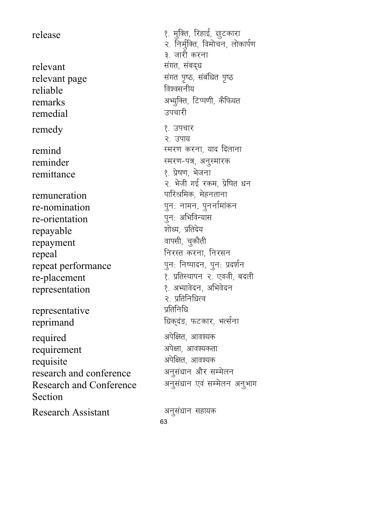relevant la component la component la component la component la component la component la component la componen<br>Experimental la component la component la component la component la component la component la component la co relevant page lacafèkr in the set of the set of the relation of the relation of the set of the set of the set o reliable for the form of the form of  $\sim$  for  $\sim$  for  $\sim$  for  $\sim$  for  $\sim$  for  $\sim$  for  $\sim$  for  $\sim$  for  $\sim$  for  $\sim$  for  $\sim$  for  $\sim$  for  $\sim$  for  $\sim$  for  $\sim$  for  $\sim$  for  $\sim$  for  $\sim$  for  $\sim$  for  $\sim$  for  $\sim$ remedial <u>ज्याती</u> remedy **1- 1-mip (1-1-mip)** हैं उपचार  $reminder$   $\qquad \qquad \text{Ferming}$   $\qquad \qquad \text{Ferming}$ remittance 1- isz"k.k] Hkstuk remuneration **interpretention** with the segment of  $\mathbb{R}^n$  and  $\mathbb{R}^n$  $re$ -nomination in the sum of  $q$ न: नामन, पुनर्नामांकन re-orientation iqu% vfHkfoU;kl repayable 'kksè;] izfrns; repayment  $\epsilon$ repeal  $\epsilon$  free function  $\epsilon$  free function  $\epsilon$ representation १. अभ्यावेदन, अभिवेदन representative प्रतिनिधि

required visit and the set of the state of the state of the state of the state of the state of the state of the requirement अपेक्षा, आवश्यकता requisite visite visite visite visite visite visite visite visite visite visite visite visite visite visite vi research and conference अनुसंधान और सम्मेलन Research and Conference Section

Research Assistant अनुसंधान सहायक

release 1- equation of the set of the set of the set of the set of the set of the set of the set of the set of २. निर्मुक्ति, विमोचन, लोकार्पण ३. जारी करना remarks van and the starting of the state of the starting of the state of the state of the state of the state o २. उपाय  $\epsilon$ remind  $\epsilon$ स्मरण करना, याद दिलाना २. भेजी गई रकम, प्रेषित धन repeat performance पुन: निष्पादन, पुन: प्रदर्शन re-placement 1- 1- 12 setting the placement of the setting of the setting  $\ell$ . प्रतिस्थापन २. एवजी, बदली २. प्रतिनिधित्व reprimand family fraction of the set of the form of the set of the set of the set of the set of the set of the अनुसंधान एवं सम्मेलन अनुभाग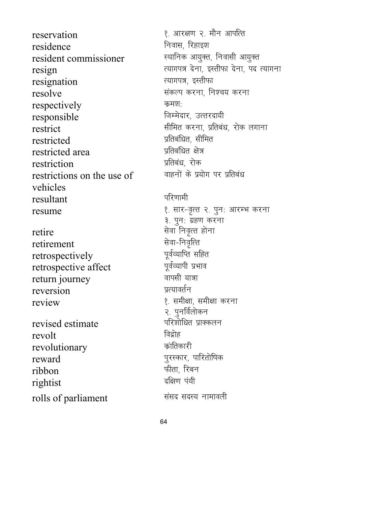reservation 1- vkj{k.k 2- ekSu vkifRr residence **function** frame function frame function  $\mathbb{R}$ resident commissioner <del>- स्थानिक आयुक्त, निवासी आयुक्त</del> resignation  $resolve$  and the latter vector of the resolve respectively कमश: responsible fterming for the form of  $\mathbb{R}^n$  means  $\mathbb{R}^n$  . The form of  $\mathbb{R}^n$ restricted izfrcafèkr] lhfer restricted area izfrcafèkr {ks= restriction restrictions on the use of vehicles resultant बरिणामी retire and the settlement of the settlement and the settlement of the settlement of the settlement of the settl<br>and the settlement of the settlement of the settlement of the settlement of the settlement of the settlement retirement lsok&fuo`fRr

retrospectively iwoZO;kfIr lfgr retrospective affect return journey when the starting of the state of  $\overline{\mathbf{r}}$ reversion प्रत्यावर्तन review 1- 1- leh ku atas atau kara-1 leh kara di kara-1 leh kara di kara-1 leh kara di kara di kara di kara di

revised estimate revolt<br>revolutionary क्रांतिकारी revolutionary  $reward$  if the contract to the contract of the contract of the contract of the contract of the contract of the contract of the contract of the contract of the contract of the contract of the contract of the contract of the ribbon Qhrk] fjcu rightist rolls of parliament and the state of parliament

 $\text{resign}$ <br> $\text{resign}$  and  $\text{curv}$  and  $\text{curv}$  and  $\text{curv}$  and  $\text{curv}$  and  $\text{curv}$  and  $\text{curv}$  and  $\text{curv}$  and  $\text{curv}$  and  $\text{curv}$  and  $\text{curv}$  and  $\text{curv}$  and  $\text{curv}$  and  $\text{curv}$  and  $\text{curv}$  and  $\text{curv}$  and  $\text$ restrict like a state of the different state of the state of the state of the state of the state of the state o वाहनों के प्रयोग पर प्रतिबंध resume 1- 100 mm vkilo 200 mm vkili 200 mm vkile 100 mm vkile 100 mm vkile 100 mm vkile 100 mm vkilo 200 mm vk ३. पुनः ग्रहण करना २. पुनर्विलोकन<br>परिशोधित प्राक्कलन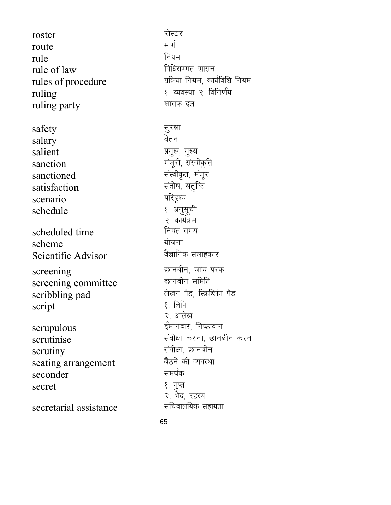roster रोस्टर<br>route मार्ग route <del>मार्ग</del>  $rule \qquad \qquad \text{rule}$ rule of law for the formula of  $\mathbf{a}$ rules of procedure **interpretent in the set of procedure** when  $\frac{1}{2}$  *yang frame*  $\frac{1}{2}$ ruling 1- Office 2- Office 2- Material Property 2- for formulation of the Property 2- formulation of the Prope ruling party which we are the set of the set of the set of the set of the set of the set of the set of the set safety सुरक्षा<br>salary बेतन salary salient izeque izeq and the salient in the set of the set of the set of the set of the set of the set of the s sanction क्रिकेट करने के प्राप्त करने के बाद से बाद से बाद से बाद से बाद से बाद से बाद से बाद से बाद से बाद से sanctioned संस्वीकृत, मंजूर satisfaction संतोष, संतुष्टि<br>scenario परिदृश्य scenario schedule । अनुसूची । अनुसूची । अनुसूची । अनुसूची । अनुसूची । अनुसूची । अनुसूची । अनुसूची । अनुसूची । अनुसूची । scheduled time **fusion** नियत समय scheme ;kstuk Scientific Advisor screening<br>screening committee कानबीन समिति screening committee scribbling pad  $\overline{\text{R}}$   $\overline{\text{R}}$   $\overline{\text{R}}$   $\overline{\text{R}}$   $\overline{\text{R}}$   $\overline{\text{R}}$   $\overline{\text{R}}$   $\overline{\text{R}}$   $\overline{\text{R}}$   $\overline{\text{R}}$   $\overline{\text{R}}$   $\overline{\text{R}}$   $\overline{\text{R}}$   $\overline{\text{R}}$   $\overline{\text{R}}$   $\overline{\text{R}}$   $\overline{\text{R}}$   $\overline{\text{R}}$   $\overline{\text{$ script scrupulous हमानदार, निष्ठावान scrutinise laoh and the serutinise land with the serutinise scrutiny and the settlement of the settlement of the settlement of the settlement of the settlement of the set seating arrangement<br>seconder <del>समर्थक</del> seconder secret १. गुप्त secretarial assistance

२. कार्यक्रम २. आलेख २. भेद, रहस्य<br>सचिवालयिक सहायता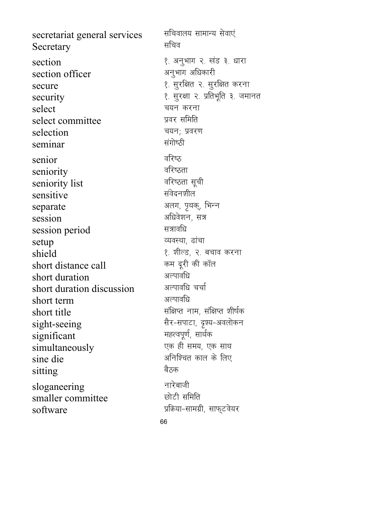secretariat general services सचिवालय सामान्य सेवाएं  $S_{\text{eccretary}}$   $\qquad$   $\qquad$   $\qquad$   $\qquad$   $\qquad$   $\qquad$   $\qquad$   $\qquad$   $\qquad$   $\qquad$   $\qquad$   $\qquad$   $\qquad$   $\qquad$   $\qquad$   $\qquad$   $\qquad$   $\qquad$   $\qquad$   $\qquad$   $\qquad$   $\qquad$   $\qquad$   $\qquad$   $\qquad$   $\qquad$   $\qquad$   $\qquad$   $\qquad$   $\qquad$   $\qquad$   $\qquad$   $\qquad$   $\qquad$   $\qquad$ section<br>section officer<br> $\frac{1}{2}$  अनुभाग अधिकारी section officer secure 1- lqjf{kr 2- lqjf{kr djuk security 1- lower text 2- in the security 1- lower 3- text 3- in the security 1- in the 3- term 3- term 3- tek select p;u djuk select committee selection चयन; प्रवरण<br>seminar संगोष्ठी seminar senior बरिष्ठ<br>seniority बरिष्ठता seniority ofj"Brk seniority list  $sensitive$   $\qquad \qquad$   $\qquad$   $\qquad$   $\qquad$   $\qquad$   $\qquad$   $\qquad$   $\qquad$   $\qquad$   $\qquad$   $\qquad$   $\qquad$   $\qquad$   $\qquad$   $\qquad$   $\qquad$   $\qquad$   $\qquad$   $\qquad$   $\qquad$   $\qquad$   $\qquad$   $\qquad$   $\qquad$   $\qquad$   $\qquad$   $\qquad$   $\qquad$   $\qquad$   $\qquad$   $\qquad$   $\qquad$   $\qquad$   $\qquad$   $\qquad$   $\$ separate variation of the state variation of the state variation of the state variation of the state variation session vfèkos'ku] l= session period setup  $\overline{\phantom{a}}$  and  $\overline{\phantom{a}}$  and  $\overline{\phantom{a}}$  and  $\overline{\phantom{a}}$  and  $\overline{\phantom{a}}$  and  $\overline{\phantom{a}}$  and  $\overline{\phantom{a}}$  and  $\overline{\phantom{a}}$  and  $\overline{\phantom{a}}$  and  $\overline{\phantom{a}}$  and  $\overline{\phantom{a}}$  and  $\overline{\phantom{a}}$  and  $\overline{\phantom{a}}$  and  $\overline{\phantom$ shield short distance call the set of the short distance call the set of the set of the set of the set of the s<br>short distance call the set of the set of the set of the set of the set of the set of the set of the set of t short distance call de nwjh dh dkWy short duration short duration discussion अल्पावधि चर्चा<br>short term अल्पावधि short term short title late late when the state of the short title sight-seeing Rt-सपाटा, दृश्य-अवलोकन significant eggs and the significant simultaneously was strategies and the simultaneously  $\sin$ e die van die verwys die verwys die verwys die verwys die verwys die verwys die verwys die verwys die verwys die verwys die verwys die verwys die verwys die verwys die verwys die verwys die verwys die verwys die verw sitting बैठक sloganeering नारेबाजी smaller committee बोटी समिति  $\text{softmax}$  software in the software in the software in the software is  $\frac{1}{2}$ 

66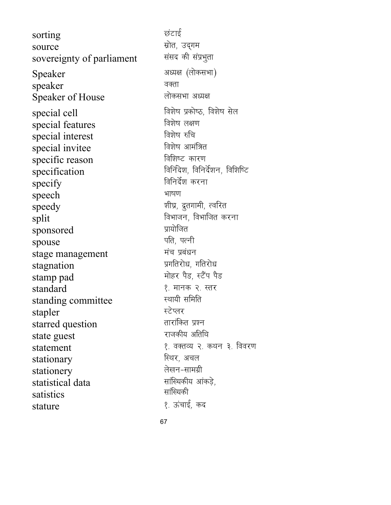sorting छंटाई  $\frac{1}{2}$ source  $\frac{1}{2}$  matrix  $\frac{1}{2}$  ,  $\frac{1}{2}$  ,  $\frac{1}{2}$  ,  $\frac{1}{2}$  ,  $\frac{1}{2}$  ,  $\frac{1}{2}$  ,  $\frac{1}{2}$  ,  $\frac{1}{2}$  ,  $\frac{1}{2}$  ,  $\frac{1}{2}$  ,  $\frac{1}{2}$  ,  $\frac{1}{2}$  ,  $\frac{1}{2}$  ,  $\frac{1}{2}$  ,  $\frac{1}{2}$  ,  $\frac{1}{2$ sovereignty of parliament संसद की संप्रभुता Speaker अध्यक्ष (लोकसभा) speaker बक्ता Speaker of House लोकसभा अध्यक्ष special cell fo'ks"k izdks"B] fo'ks"k lsy special features বিয়ল কাম বিয়ল কাম<br>special interest বিয়ল কৰি special interest the found and the found invited in the found of the found of  $\frac{1}{2}$ special invitee specific reason farmer and factor of the specific reason  $\frac{1}{\sqrt{2\pi}}\ \frac{1}{\sqrt{2\pi}}\ \frac{1}{\sqrt{2\pi}}\ \frac{1}{\sqrt{2\pi}}\ \frac{1}{\sqrt{2\pi}}\ \frac{1}{\sqrt{2\pi}}\ \frac{1}{\sqrt{2\pi}}\ \frac{1}{\sqrt{2\pi}}\ \frac{1}{\sqrt{2\pi}}\ \frac{1}{\sqrt{2\pi}}\ \frac{1}{\sqrt{2\pi}}\ \frac{1}{\sqrt{2\pi}}\ \frac{1}{\sqrt{2\pi}}\ \frac{1}{\sqrt{2\pi}}\ \frac{1}{\sqrt{2\pi}}\ \frac{1}{\sqrt{2\pi}}\ \frac{1}{\sqrt{2\pi$  $\frac{1}{\sqrt{2}}$  specify  $\frac{1}{\sqrt{2}}$  and  $\frac{1}{\sqrt{2}}$  and  $\frac{1}{\sqrt{2}}$  and  $\frac{1}{\sqrt{2}}$ speech भाषण  $\mathbf{x} = \mathbf{y}$  speedy  $\mathbf{x} = \mathbf{y}$  and  $\mathbf{x} = \mathbf{y}$  $\frac{\text{split}}{\text{split}}$  for  $\frac{\text{split}}{\text{split}}$ sponsored  $\frac{1}{\pi}$ spouse ifr $\frac{1}{\pi}$ stage management eap izcaèku stagnation stamp pad Fig. 1 बार मोहर पैड, स्टैंप पैड standard 1- ekud 2- Lrj standing committee stapler LVsIyj starred question rkjkafdr iz'u state guest stationary fLFkj] vpy stationery statistical data satistics stature 1- ÅapkbZ] dn

statement 1- operation in the statement and the statement and statement in the statement of  $\ell$ . सांख्यिकीय आंकड़े, सांख्यिकी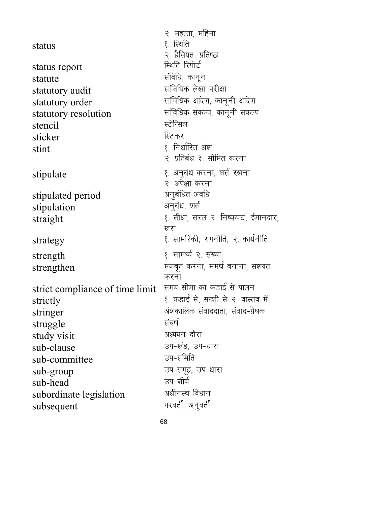|                                 | २. महत्ता, महिमा                    |
|---------------------------------|-------------------------------------|
| status                          | १. स्थिति                           |
|                                 | २. हैसियत, प्रतिष्ठा                |
| status report                   | स्थिति रिपोर्ट                      |
| statute                         | संविधि, कानून                       |
| statutory audit                 | सांविधिक लेखा परीक्षा               |
| statutory order                 | सांविधिक आदेश, कानूनी आदेश          |
| statutory resolution            | सांविधिक संकल्प, कानूनी संकल्प      |
| stencil                         | स्टेन्सिल                           |
| sticker                         | स्टिकर                              |
| stint                           | १. निर्धारित अंश                    |
|                                 | २. प्रतिबंध ३. सीमित करना           |
| stipulate                       | १. अनुबंध करना, शर्त रखना           |
|                                 | २. अपेक्षा करना                     |
| stipulated period               | अनुबंधित अवधि                       |
| stipulation                     | अनुबंध, शर्त                        |
| straight                        | १. सीधा, सरल २. निष्कपट, ईमानदार,   |
|                                 | खरा                                 |
| strategy                        | १. सामरिकी, रणनीति, २. कार्यनीति    |
| strength                        | १. सामर्थ्य २. संख्या               |
| strengthen                      | मजबूत करना, समर्थ बनाना, सशक्त      |
|                                 | करना                                |
| strict compliance of time limit | समय-सीमा का कड़ाई से पालन           |
| strictly                        | १. कड़ाई से, सख्ती से २. वास्तव में |
| stringer                        | अंशकालिक संवाददाता, संवाद-प्रेषक    |
| struggle                        | संघर्ष                              |
| study visit                     | अध्ययन दौरा                         |
| sub-clause                      | उप-खंड, उप-धारा                     |
| sub-committee                   | उप-समिति                            |
| sub-group                       | उप-समूह, उप-धारा                    |
| sub-head                        | उप-शीर्ष                            |
| subordinate legislation         | अधीनस्थ विधान                       |
| subsequent                      | परवर्ती, अनुवर्ती                   |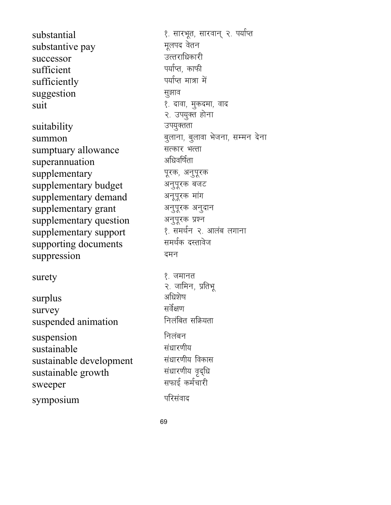substantive pay successor जत्तराधिकारी sufficient<br>sufficiently in the sufficiently with the sufficiently sufficiently suggestion बाद करने हुआ के सुझाव

suitability summon<br>
summtuarv allowance<br>
सत्कार भत्ता sumptuary allowance स्वत्कार भर<br>sunerannuation - अधिवर्षिता superannuation supplementary पूरक, अनुपूरक supplementary budget अनुपूरक बजट supplementary demand अनूपूरक मांग supplementary grant अनुपूरक अनुदान supplementary question अनुपूरक प्रश्न<br>supplementary support (१) शत्मर्थन २ आलंब लगाना supplementary support 1- leFkZu 2- vkyac yxkuk supporting documents suppression व्याप्त करने व्याप्त करने व्याप्त करने व्याप्त करने व्याप्त करने व्याप्त करने व्याप्त करने व्याप्त

surplus survey losZ{k.k suspended animation suspension निलंबन sustainable laèkkj.kh; sustainable development la/kkj.kh; fodkl sustainable growth sweeper and the settlement of the settlement of the settlement of the settlement of the  $\overline{z}$ symposium परिसंवाद

substantial  $\frac{1}{\text{substantive}}$  and  $\frac{1}{\text{substantive}}$  and  $\frac{1}{\text{substantive}}$ suit 1- nkok] eqdnek] okn २. उपयुक्त होना<br>उपयुक्तता  $\text{surety}$  ।  $\text{1-} \frac{1}{2}$  (  $\text{1-} \frac{1}{2}$  )  $\text{1-} \frac{1}{2}$ २. जामिन, प्रतिभू<br>अधिशेष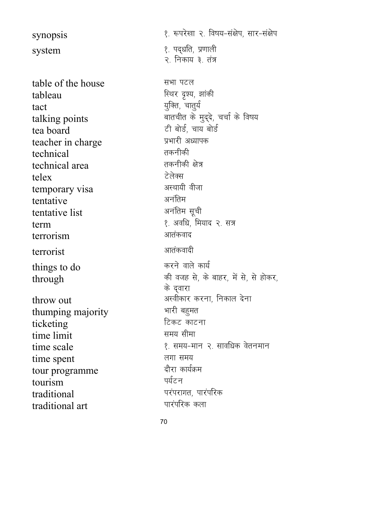synopsis 1- :ijs[kk 2- fo"k;&la{ksi] lkj&la{ksi  $\sqrt{2}$ system  $\sqrt{2}$  in  $\sqrt{2}$  is  $\sqrt{2}$  if  $\sqrt{2}$ २. निकाय ३. तंत्र table of the house **a** सभा पटल tableau fableau fear an team an team and the sea tact ;qfDr] pkrq;Z talking points and the set of the set of the four delayer and the four talking points tea board Vh changes and the changes of the case of the case of the changes of the changes of the changes of the changes of the changes of the changes of the changes of the changes of the changes of the changes of the cha teacher in charge which we will determine the set of the set of the set of the set of the set of the set of the technical तकनीकी technical area and the control of the control and the control of the control of the control of the control of t telex टेलेक्स temporary visa <sup>अस्थायी</sup> <sup>वीजा</sup><br>tentative अनंतिम tentative use का अनंतिम<br>tentative list का अनंतिम सूची tentative list term 1- vofèk] fe;kn 2- l= terrorism अतंकवाद terrorist अतंकवादी things to do by the set of the set of the set of the set of the set of the set of the set of the set of the set  $through$   $\frac{1}{2}$  and  $\frac{1}{2}$  denotes  $\frac{1}{2}$  and  $\frac{1}{2}$  and  $\frac{1}{2}$  and  $\frac{1}{2}$  and  $\frac{1}{2}$  and  $\frac{1}{2}$  and  $\frac{1}{2}$  and  $\frac{1}{2}$  and  $\frac{1}{2}$  and  $\frac{1}{2}$  and  $\frac{1}{2}$  and  $\frac{1}{2}$  and  $\frac{1}{2}$  and  $\$ के द्वारा throw out the vertex weakened with the setting in the setting in the setting majority  $\frac{1}{2}$  and  $\frac{1}{2}$  and  $\frac{1}{2}$  and  $\frac{1}{2}$  and  $\frac{1}{2}$  and  $\frac{1}{2}$  and  $\frac{1}{2}$  and  $\frac{1}{2}$  and  $\frac{1}{2}$  and  $\frac{1}{2}$ thumping majority ticketing tine limit<br>time limit time limit time scale 1- 1- left ostate 1- left ostate 1- left oscale 1- left oscale 1- left oscale 1- left oscale 1- lef time spent ज्ञान समय tour programme nkSjk dk;ZØe tourism traditional internal traditional set in the set of the set of the set of the set of the set of the set of the <br>traditional art in the set of the set of the set of the set of the set of the set of the set of the set of the traditional art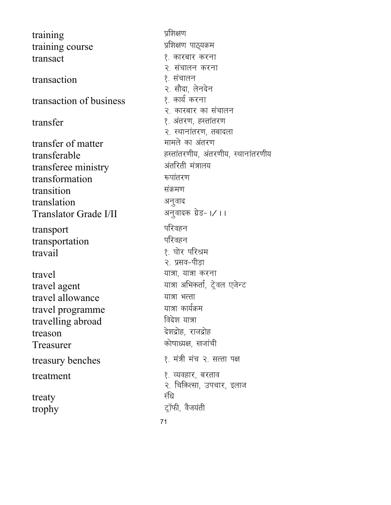71 training izf'k{k.k training course transact stransact stransact and the set of the set of the set of the set of the set of the set of the set of t transaction । अन्यान्ध्या प्रशासन transaction of business transfer 1- varj.k] gLrkarj.k transfer of matter transferable gLrkarj.kh;] varj.kh;] LFkkukarj.kh; transferee ministry transformation : क्यांतरण transition संक्रमण translation अनुवाद<br>Translator Grade I/II अनुवादक ग्रेड- ।/ ।। Translator Grade I/II transport ifjogu transportation travail 1- ?kksj ifjJe travel in the set of the set of the set of the set of the set of the set of the set of the set of the set of t travel agent in the settle with the value of the value of the value of the value of  $\frac{1}{\sqrt{2}}$ travel allowance  $\frac{1}{\text{max}}$  भात्रा भत्ता travel programme travelling abroad fact in the fact of the state of the state of the state of the state of the state of the state of the state of the state of the state of the state of the state of the state of the state of the state of t treason वेशद्रोह, राजद्रोह Treasurer **decimal controller in the set of the set of the set of the set of the set of the set of the set of t** treasury benches (१) संत्री मंच २. सत्ता पक्ष treatment 1- O;ogkj] cjrko treaty संघ trophy द्रॉफी, वैजयंती

२. संचालन करना २. सौदा, लेनदेन<br>१. कार्य करना २. कारबार का संचालन २. स्थानांतरण, तबादला<br>मामले का अंतरण २. प्रसव-पीडा २. चिकित्सा, उपचार, इलाज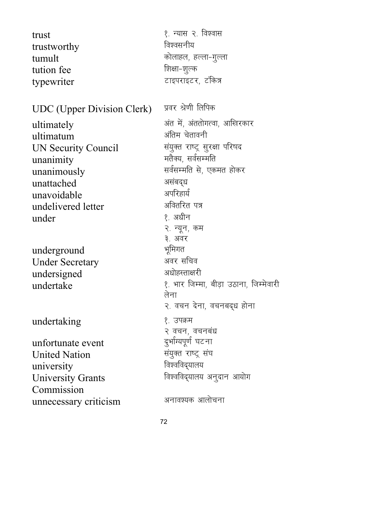| trust<br>trustworthy<br>tumult<br>tution fee<br>typewriter                                                                             | १. न्यास २. विश्वास<br>विश्वसनीय<br>कोलाहल, हल्ला-गुल्ला<br>शिक्षा-शूल्क<br>टाइपराइटर, टंकित्र                                                                                                                |
|----------------------------------------------------------------------------------------------------------------------------------------|---------------------------------------------------------------------------------------------------------------------------------------------------------------------------------------------------------------|
| <b>UDC</b> (Upper Division Clerk)                                                                                                      | प्रवर श्रेणी लिपिक                                                                                                                                                                                            |
| ultimately<br>ultimatum<br>UN Security Council<br>unanimity<br>unanimously<br>unattached<br>unavoidable<br>undelivered letter<br>under | अंत में, अंततोगत्वा, आखिरकार<br>अंतिम चेतावनी<br>संयुक्त राष्ट्र सुरक्षा परिषद<br>मतैक्य, सर्वसम्मति<br>सर्वसम्मति से, एकमत होकर<br>असंबद्ध<br>अपरिहार्य<br>अवितरित पत्र<br>१. अधीन<br>२. न्यून, कम<br>३. अवर |
| underground<br><b>Under Secretary</b><br>undersigned                                                                                   | भूमिगत<br>अवर सचिव<br>अधोहस्ताक्षरी                                                                                                                                                                           |
|                                                                                                                                        | $\sim$ $\sim$ $\sim$                                                                                                                                                                                          |

undertaking **1996** । अब १. उपक्रम

unfortunate event दुर्भाग्यपूर्ण घटना<br>United Nation हे संयुक्त राष्ट्र संघ United Nation संयुक्त राष्ट्र स्<br>university विश्वविद्यालय university University Grants Commission unnecessary criticism अनावश्यक आलोचना

 $undertake$   $\frac{1}{8}$  and  $\frac{1}{8}$  and  $\frac{1}{8}$  and  $\frac{1}{8}$  and  $\frac{1}{8}$  and  $\frac{1}{8}$  and  $\frac{1}{8}$  and  $\frac{1}{8}$  and  $\frac{1}{8}$  and  $\frac{1}{8}$  and  $\frac{1}{8}$  and  $\frac{1}{8}$  and  $\frac{1}{8}$  and  $\frac{1}{8}$  and  $\frac{1}{8}$  and  $\frac{1$ २. वचन देना, वचनबद्ध होना

विश्वविद्यालय अनुदान आयोग

्रे वचन, वचनबंध<br>दुर्भाग्यपूर्ण घटना

लेना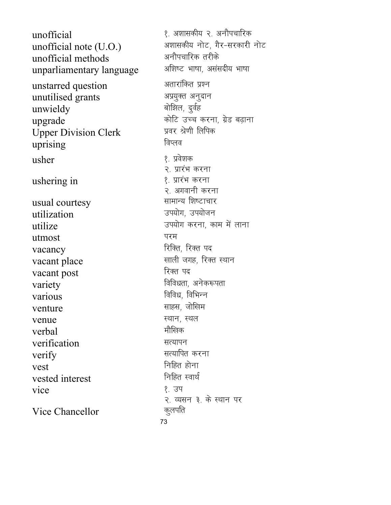१. अशासकीय २. अनौपचारिक unofficial अशासकीय नोट, गैर-सरकारी नोट unofficial note (U.O.) अनौपचारिक तरीके unofficial methods अशिष्ट भाषा, असंसदीय भाषा unparliamentary language अतारांकित प्रश्न unstarred question अप्रयुक्त अनुदान unutilised grants बोझिल, दुर्वह unwieldy कोटि उच्च करना, ग्रेड बढ़ाना upgrade **Upper Division Clerk** प्रवर श्रेणी लिपिक विप्लव uprising १. प्रवेशक usher २. प्रारंभ करना १. प्रारंभ करना ushering in २. अगवानी करना सामान्य शिष्टाचार usual courtesy उपयोग. उपयोजन utilization उपयोग करना, काम में लाना utilize परम utmost रिक्ति, रिक्त पद vacancy खाली जगह, रिक्त स्थान vacant place रिक्त पद vacant post विविधता, अनेकरूपता variety विविध, विभिन्न various साहस, जोलिम venture स्थान, स्थल venue मौलिक verbal verification सत्यापन सत्यापित करना verify निहित होना vest निहित स्वार्थ vested interest १. उप vice २. व्यसन ३. के स्थान पर कुलपति Vice Chancellor 73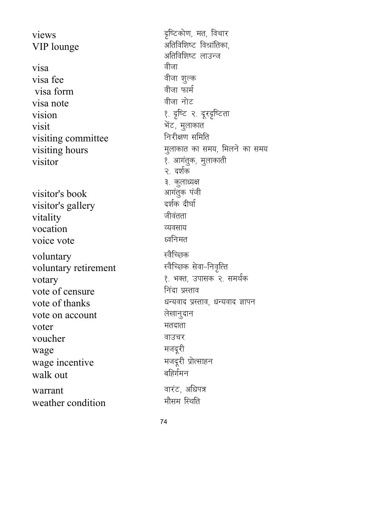$\mathbf{v}$ iews naffet and  $\mathbf{v}$  for  $\mathbf{v}$  for  $\mathbf{v}$  for  $\mathbf{v}$  for  $\mathbf{v}$  for  $\mathbf{v}$  for  $\mathbf{v}$  for  $\mathbf{v}$ VIP lounge van and all and starting of the virtual value of  $\mathcal{A}$ **is** $**a**$  **of**  $**b**$  **or**  $**b**$  **of**  $**c**$ visa fee ohtk 'kay' के बीजा शुल्क<br>Visa form visa form ohtk QkeZ visa note vision 1- n`f"V 2- nwjn`f"Vrk visit HksaV] eqykdkr visiting committee  $visiting \ hours$  equal to left in the left of the left of the left in the left of the left of the left of the left of the left of the left of the left of the left of the left of the left of the left of the left of the left of the  $\overline{\text{v}}$ isitor 1- visitor equality equation by the set of  $\overline{\text{v}}$ visitor's book vkxarqd iath visitor's gallery vitality जीवंतता vocation <u>व्यवसाय</u> voice vote and the state of the state  $\mathbb{R}^n$ voluntary<br>voluntary retirement<br>स्वैच्छिक सेवा-निवृत्ति voluntary retirement  $\frac{1}{2}$ votary<br>vote of censure<br> $\frac{1}{2}$  are left and the frist  $\frac{1}{2}$  and  $\frac{1}{2}$  are frist and  $\frac{1}{2}$  are frist  $\frac{1}{2}$  and  $\frac{1}{2}$  are left and the vote of censure vote of censure vote of thanks and the serve when the server is thanks and the server and the server in the server is the server vote on account ys[kkuqnku  $\mathbf{v}$ oter सतदाता voucher बाउचर wage etnwjh wage incentive etnwjh izksRlkgu walk out warrant okjaV] vfèki= weather condition

अतिविशिष्ट लाउन्ज २. दर्शक ३. कुलाध्यक्ष<br>आगंतुक पंजी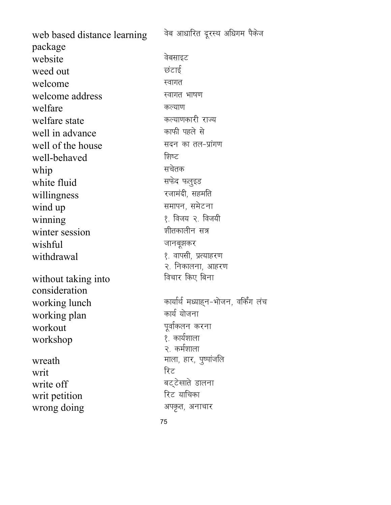web based distance learning package वेब आधारित दूरस्थ अधिगम पैकेज website and a basic of the set of the set of the set of the set of the set of the set of the set of the set of weed out the state of the state of  $\vec{v}$ welcome <del>स्</del>वागत welcome address **Example 20** स्वागत भाषण welfare discovered welfare and the set of  $\mathbb{R}^n$ welfare state and the state development of the set of the state of the state of the state of the state of the s<br>Microsoft in advance and the state of the state of the state of the state of the state of the state of the st well in advance well of the house and the result of the house well-behaved । बिष्ट whip<br>white fluid<br>white fluid white fluid willingness रजामंदी, सहमति wind up **and up letter wind up** and the set of the set of the set of the set of the set of the set of the set of the set of the set of the set of the set of the set of the set of the set of the set of the set of the set o winning<br>winter session<br>winter session<br>क्षीतकालीन सत्र winter session  $\text{wishful}$   $\blacksquare$ withdrawal state of the set of the set of the set of the set of the set of the set of the set of the set of th २. निकालना, आहरण without taking into consideration विचार किए बिना working lunch  $\frac{1}{2\pi}$  कार्यार्थ मध्याहन-भोजन, वर्किंग लंच<br>working plan working plan workout in the settlement work work work work work work was a settlement of the settlement of the settlement o  $workshop$   $\frac{1}{2}$  कार्यशाला २. कर्मशाला  $w\text{, }$   $\text{with}$  if  $\mathcal{L}$  if  $\mathcal{L}$  if  $\mathcal{L}$  if  $\mathcal{L}$  if  $\mathcal{L}$  if  $\mathcal{L}$  if  $\mathcal{L}$  if  $\mathcal{L}$  if  $\mathcal{L}$  if  $\mathcal{L}$  if  $\mathcal{L}$  if  $\mathcal{L}$  if  $\mathcal{L}$  if  $\mathcal{L}$  if  $\mathcal{L}$  if  $\mathcal{L}$  if  $\mathcal{L}$  $\overline{v}$ writ f $\overline{v}$ write off cV~Vs[kkrs Mkyuk writ petition wrong doing victor of the strategies of the strategies of the strategies of the strategies of the strategies o

75